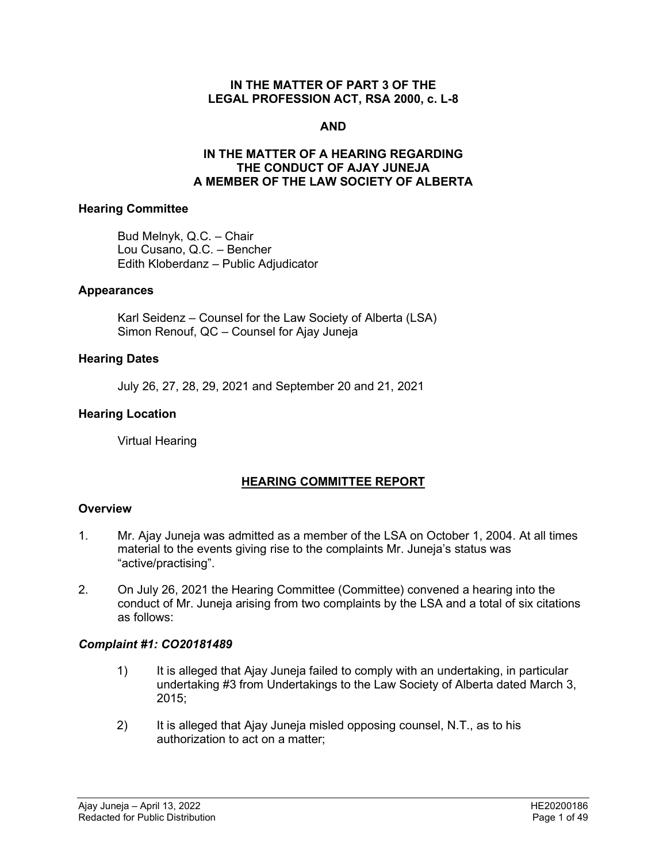#### **IN THE MATTER OF PART 3 OF THE LEGAL PROFESSION ACT, RSA 2000, c. L-8**

#### **AND**

#### **IN THE MATTER OF A HEARING REGARDING THE CONDUCT OF AJAY JUNEJA A MEMBER OF THE LAW SOCIETY OF ALBERTA**

#### **Hearing Committee**

Bud Melnyk, Q.C. – Chair Lou Cusano, Q.C. – Bencher Edith Kloberdanz – Public Adjudicator

#### **Appearances**

Karl Seidenz – Counsel for the Law Society of Alberta (LSA) Simon Renouf, QC – Counsel for Ajay Juneja

#### **Hearing Dates**

July 26, 27, 28, 29, 2021 and September 20 and 21, 2021

#### **Hearing Location**

Virtual Hearing

# **HEARING COMMITTEE REPORT**

#### **Overview**

- 1. Mr. Ajay Juneja was admitted as a member of the LSA on October 1, 2004. At all times material to the events giving rise to the complaints Mr. Juneja's status was "active/practising".
- 2. On July 26, 2021 the Hearing Committee (Committee) convened a hearing into the conduct of Mr. Juneja arising from two complaints by the LSA and a total of six citations as follows:

#### *Complaint #1: CO20181489*

- 1) It is alleged that Ajay Juneja failed to comply with an undertaking, in particular undertaking #3 from Undertakings to the Law Society of Alberta dated March 3, 2015;
- 2) It is alleged that Ajay Juneja misled opposing counsel, N.T., as to his authorization to act on a matter;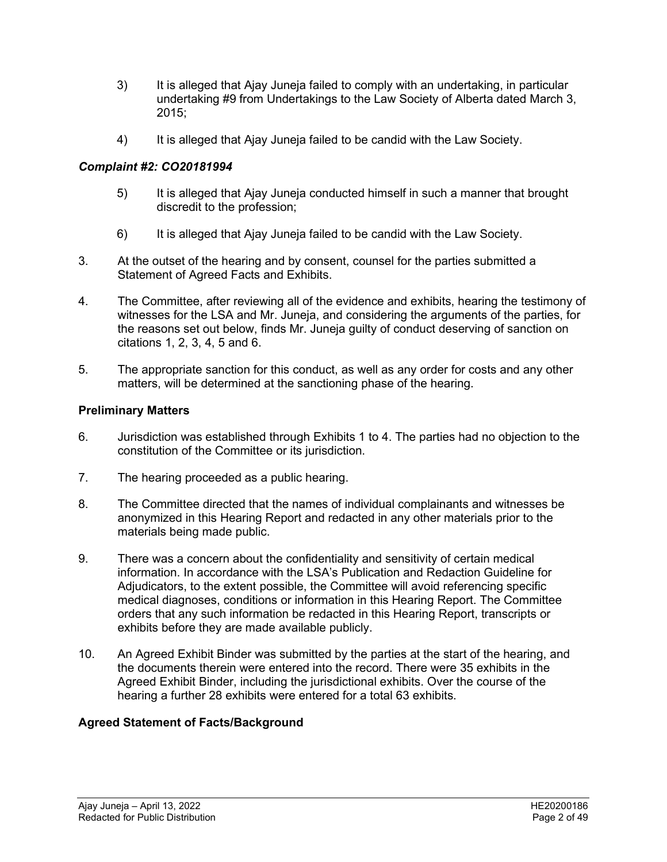- 3) It is alleged that Ajay Juneja failed to comply with an undertaking, in particular undertaking #9 from Undertakings to the Law Society of Alberta dated March 3, 2015;
- 4) It is alleged that Ajay Juneja failed to be candid with the Law Society.

# *Complaint #2: CO20181994*

- 5) It is alleged that Ajay Juneja conducted himself in such a manner that brought discredit to the profession;
- 6) It is alleged that Ajay Juneja failed to be candid with the Law Society.
- 3. At the outset of the hearing and by consent, counsel for the parties submitted a Statement of Agreed Facts and Exhibits.
- 4. The Committee, after reviewing all of the evidence and exhibits, hearing the testimony of witnesses for the LSA and Mr. Juneja, and considering the arguments of the parties, for the reasons set out below, finds Mr. Juneja guilty of conduct deserving of sanction on citations 1, 2, 3, 4, 5 and 6.
- 5. The appropriate sanction for this conduct, as well as any order for costs and any other matters, will be determined at the sanctioning phase of the hearing.

# **Preliminary Matters**

- 6. Jurisdiction was established through Exhibits 1 to 4. The parties had no objection to the constitution of the Committee or its jurisdiction.
- 7. The hearing proceeded as a public hearing.
- 8. The Committee directed that the names of individual complainants and witnesses be anonymized in this Hearing Report and redacted in any other materials prior to the materials being made public.
- 9. There was a concern about the confidentiality and sensitivity of certain medical information. In accordance with the LSA's Publication and Redaction Guideline for Adjudicators, to the extent possible, the Committee will avoid referencing specific medical diagnoses, conditions or information in this Hearing Report. The Committee orders that any such information be redacted in this Hearing Report, transcripts or exhibits before they are made available publicly.
- 10. An Agreed Exhibit Binder was submitted by the parties at the start of the hearing, and the documents therein were entered into the record. There were 35 exhibits in the Agreed Exhibit Binder, including the jurisdictional exhibits. Over the course of the hearing a further 28 exhibits were entered for a total 63 exhibits.

# **Agreed Statement of Facts/Background**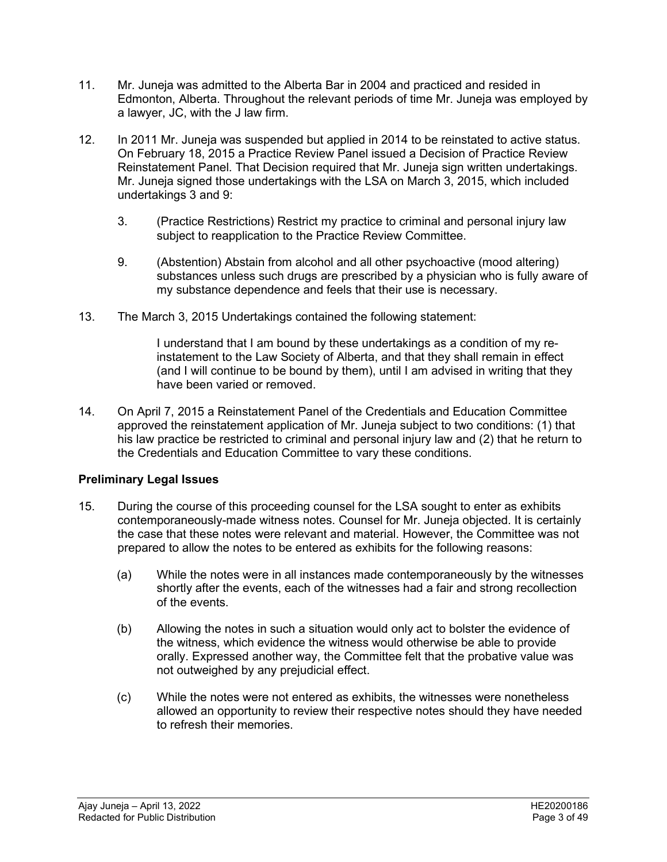- 11. Mr. Juneja was admitted to the Alberta Bar in 2004 and practiced and resided in Edmonton, Alberta. Throughout the relevant periods of time Mr. Juneja was employed by a lawyer, JC, with the J law firm.
- 12. In 2011 Mr. Juneja was suspended but applied in 2014 to be reinstated to active status. On February 18, 2015 a Practice Review Panel issued a Decision of Practice Review Reinstatement Panel. That Decision required that Mr. Juneja sign written undertakings. Mr. Juneja signed those undertakings with the LSA on March 3, 2015, which included undertakings 3 and 9:
	- 3. (Practice Restrictions) Restrict my practice to criminal and personal injury law subject to reapplication to the Practice Review Committee.
	- 9. (Abstention) Abstain from alcohol and all other psychoactive (mood altering) substances unless such drugs are prescribed by a physician who is fully aware of my substance dependence and feels that their use is necessary.
- 13. The March 3, 2015 Undertakings contained the following statement:

I understand that I am bound by these undertakings as a condition of my reinstatement to the Law Society of Alberta, and that they shall remain in effect (and I will continue to be bound by them), until I am advised in writing that they have been varied or removed.

14. On April 7, 2015 a Reinstatement Panel of the Credentials and Education Committee approved the reinstatement application of Mr. Juneja subject to two conditions: (1) that his law practice be restricted to criminal and personal injury law and (2) that he return to the Credentials and Education Committee to vary these conditions.

# **Preliminary Legal Issues**

- 15. During the course of this proceeding counsel for the LSA sought to enter as exhibits contemporaneously-made witness notes. Counsel for Mr. Juneja objected. It is certainly the case that these notes were relevant and material. However, the Committee was not prepared to allow the notes to be entered as exhibits for the following reasons:
	- (a) While the notes were in all instances made contemporaneously by the witnesses shortly after the events, each of the witnesses had a fair and strong recollection of the events.
	- (b) Allowing the notes in such a situation would only act to bolster the evidence of the witness, which evidence the witness would otherwise be able to provide orally. Expressed another way, the Committee felt that the probative value was not outweighed by any prejudicial effect.
	- (c) While the notes were not entered as exhibits, the witnesses were nonetheless allowed an opportunity to review their respective notes should they have needed to refresh their memories.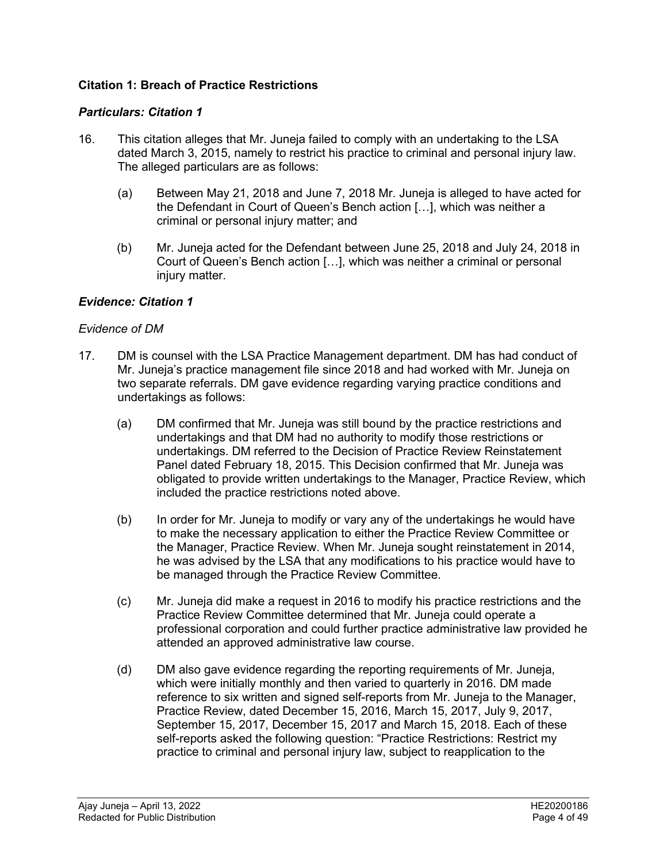# **Citation 1: Breach of Practice Restrictions**

#### *Particulars: Citation 1*

- 16. This citation alleges that Mr. Juneja failed to comply with an undertaking to the LSA dated March 3, 2015, namely to restrict his practice to criminal and personal injury law. The alleged particulars are as follows:
	- (a) Between May 21, 2018 and June 7, 2018 Mr. Juneja is alleged to have acted for the Defendant in Court of Queen's Bench action […], which was neither a criminal or personal injury matter; and
	- (b) Mr. Juneja acted for the Defendant between June 25, 2018 and July 24, 2018 in Court of Queen's Bench action […], which was neither a criminal or personal injury matter.

### *Evidence: Citation 1*

#### *Evidence of DM*

- 17. DM is counsel with the LSA Practice Management department. DM has had conduct of Mr. Juneja's practice management file since 2018 and had worked with Mr. Juneja on two separate referrals. DM gave evidence regarding varying practice conditions and undertakings as follows:
	- (a) DM confirmed that Mr. Juneja was still bound by the practice restrictions and undertakings and that DM had no authority to modify those restrictions or undertakings. DM referred to the Decision of Practice Review Reinstatement Panel dated February 18, 2015. This Decision confirmed that Mr. Juneja was obligated to provide written undertakings to the Manager, Practice Review, which included the practice restrictions noted above.
	- (b) In order for Mr. Juneja to modify or vary any of the undertakings he would have to make the necessary application to either the Practice Review Committee or the Manager, Practice Review. When Mr. Juneja sought reinstatement in 2014, he was advised by the LSA that any modifications to his practice would have to be managed through the Practice Review Committee.
	- (c) Mr. Juneja did make a request in 2016 to modify his practice restrictions and the Practice Review Committee determined that Mr. Juneja could operate a professional corporation and could further practice administrative law provided he attended an approved administrative law course.
	- (d) DM also gave evidence regarding the reporting requirements of Mr. Juneja, which were initially monthly and then varied to quarterly in 2016. DM made reference to six written and signed self-reports from Mr. Juneja to the Manager, Practice Review, dated December 15, 2016, March 15, 2017, July 9, 2017, September 15, 2017, December 15, 2017 and March 15, 2018. Each of these self-reports asked the following question: "Practice Restrictions: Restrict my practice to criminal and personal injury law, subject to reapplication to the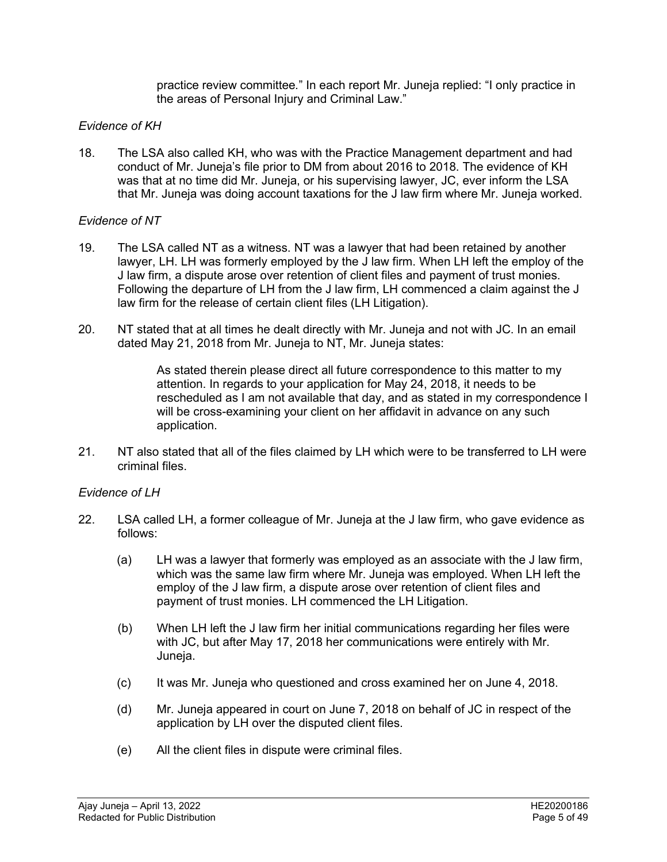practice review committee*.*" In each report Mr. Juneja replied: "I only practice in the areas of Personal Injury and Criminal Law."

### *Evidence of KH*

18. The LSA also called KH, who was with the Practice Management department and had conduct of Mr. Juneja's file prior to DM from about 2016 to 2018. The evidence of KH was that at no time did Mr. Juneja, or his supervising lawyer, JC, ever inform the LSA that Mr. Juneja was doing account taxations for the J law firm where Mr. Juneja worked.

#### *Evidence of NT*

- 19. The LSA called NT as a witness. NT was a lawyer that had been retained by another lawyer, LH. LH was formerly employed by the J law firm. When LH left the employ of the J law firm, a dispute arose over retention of client files and payment of trust monies. Following the departure of LH from the J law firm, LH commenced a claim against the J law firm for the release of certain client files (LH Litigation).
- 20. NT stated that at all times he dealt directly with Mr. Juneja and not with JC. In an email dated May 21, 2018 from Mr. Juneja to NT, Mr. Juneja states:

As stated therein please direct all future correspondence to this matter to my attention. In regards to your application for May 24, 2018, it needs to be rescheduled as I am not available that day, and as stated in my correspondence I will be cross-examining your client on her affidavit in advance on any such application.

21. NT also stated that all of the files claimed by LH which were to be transferred to LH were criminal files.

#### *Evidence of LH*

- 22. LSA called LH, a former colleague of Mr. Juneja at the J law firm, who gave evidence as follows:
	- (a) LH was a lawyer that formerly was employed as an associate with the J law firm, which was the same law firm where Mr. Juneja was employed. When LH left the employ of the J law firm, a dispute arose over retention of client files and payment of trust monies. LH commenced the LH Litigation.
	- (b) When LH left the J law firm her initial communications regarding her files were with JC, but after May 17, 2018 her communications were entirely with Mr. Juneja.
	- (c) It was Mr. Juneja who questioned and cross examined her on June 4, 2018.
	- (d) Mr. Juneja appeared in court on June 7, 2018 on behalf of JC in respect of the application by LH over the disputed client files.
	- (e) All the client files in dispute were criminal files.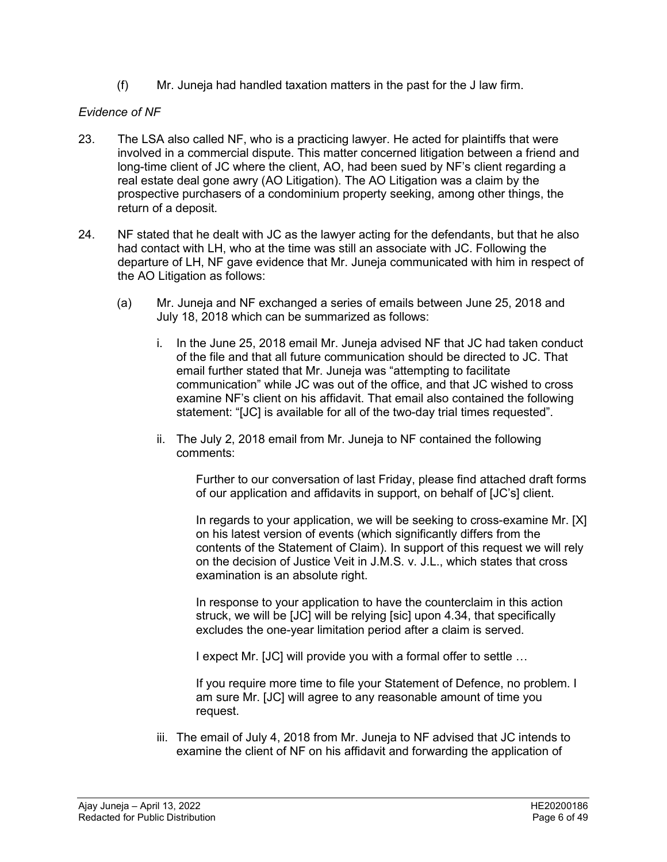(f) Mr. Juneja had handled taxation matters in the past for the J law firm.

# *Evidence of NF*

- 23. The LSA also called NF, who is a practicing lawyer. He acted for plaintiffs that were involved in a commercial dispute. This matter concerned litigation between a friend and long-time client of JC where the client, AO, had been sued by NF's client regarding a real estate deal gone awry (AO Litigation). The AO Litigation was a claim by the prospective purchasers of a condominium property seeking, among other things, the return of a deposit.
- 24. NF stated that he dealt with JC as the lawyer acting for the defendants, but that he also had contact with LH, who at the time was still an associate with JC. Following the departure of LH, NF gave evidence that Mr. Juneja communicated with him in respect of the AO Litigation as follows:
	- (a) Mr. Juneja and NF exchanged a series of emails between June 25, 2018 and July 18, 2018 which can be summarized as follows:
		- i. In the June 25, 2018 email Mr. Juneja advised NF that JC had taken conduct of the file and that all future communication should be directed to JC. That email further stated that Mr. Juneja was "attempting to facilitate communication" while JC was out of the office, and that JC wished to cross examine NF's client on his affidavit. That email also contained the following statement: "[JC] is available for all of the two-day trial times requested".
		- ii. The July 2, 2018 email from Mr. Juneja to NF contained the following comments:

Further to our conversation of last Friday, please find attached draft forms of our application and affidavits in support, on behalf of [JC's] client.

In regards to your application, we will be seeking to cross-examine Mr. [X] on his latest version of events (which significantly differs from the contents of the Statement of Claim). In support of this request we will rely on the decision of Justice Veit in J.M.S. v. J.L., which states that cross examination is an absolute right.

In response to your application to have the counterclaim in this action struck, we will be [JC] will be relying [sic] upon 4.34, that specifically excludes the one-year limitation period after a claim is served.

I expect Mr. [JC] will provide you with a formal offer to settle …

If you require more time to file your Statement of Defence, no problem. I am sure Mr. [JC] will agree to any reasonable amount of time you request.

iii. The email of July 4, 2018 from Mr. Juneja to NF advised that JC intends to examine the client of NF on his affidavit and forwarding the application of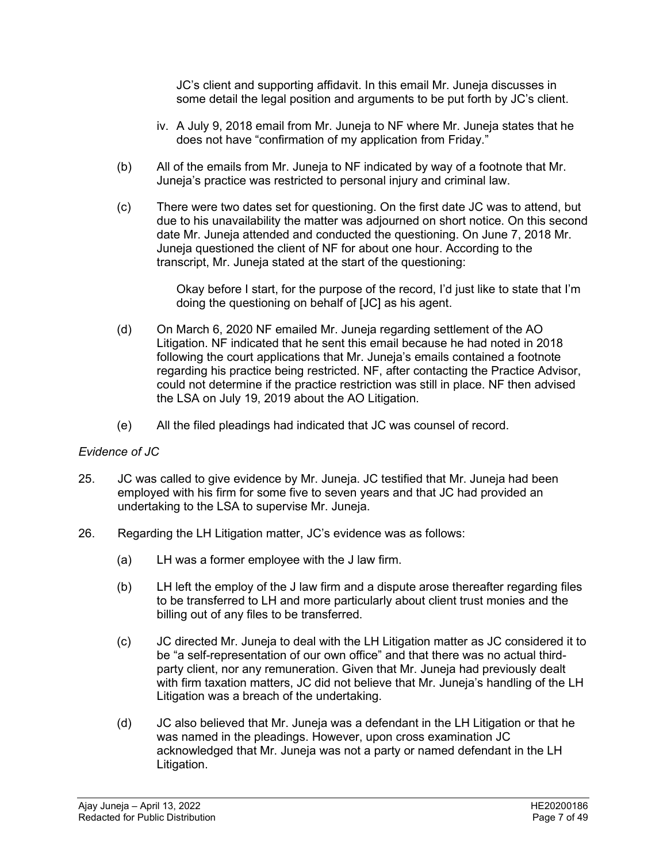JC's client and supporting affidavit. In this email Mr. Juneja discusses in some detail the legal position and arguments to be put forth by JC's client.

- iv. A July 9, 2018 email from Mr. Juneja to NF where Mr. Juneja states that he does not have "confirmation of my application from Friday."
- (b) All of the emails from Mr. Juneja to NF indicated by way of a footnote that Mr. Juneja's practice was restricted to personal injury and criminal law.
- (c) There were two dates set for questioning. On the first date JC was to attend, but due to his unavailability the matter was adjourned on short notice. On this second date Mr. Juneja attended and conducted the questioning. On June 7, 2018 Mr. Juneja questioned the client of NF for about one hour. According to the transcript, Mr. Juneja stated at the start of the questioning:

Okay before I start, for the purpose of the record, I'd just like to state that I'm doing the questioning on behalf of [JC] as his agent.

- (d) On March 6, 2020 NF emailed Mr. Juneja regarding settlement of the AO Litigation. NF indicated that he sent this email because he had noted in 2018 following the court applications that Mr. Juneja's emails contained a footnote regarding his practice being restricted. NF, after contacting the Practice Advisor, could not determine if the practice restriction was still in place. NF then advised the LSA on July 19, 2019 about the AO Litigation.
- (e) All the filed pleadings had indicated that JC was counsel of record.

#### *Evidence of JC*

- 25. JC was called to give evidence by Mr. Juneja. JC testified that Mr. Juneja had been employed with his firm for some five to seven years and that JC had provided an undertaking to the LSA to supervise Mr. Juneja.
- 26. Regarding the LH Litigation matter, JC's evidence was as follows:
	- (a) LH was a former employee with the J law firm.
	- (b) LH left the employ of the J law firm and a dispute arose thereafter regarding files to be transferred to LH and more particularly about client trust monies and the billing out of any files to be transferred.
	- (c) JC directed Mr. Juneja to deal with the LH Litigation matter as JC considered it to be "a self-representation of our own office" and that there was no actual thirdparty client, nor any remuneration. Given that Mr. Juneja had previously dealt with firm taxation matters, JC did not believe that Mr. Juneja's handling of the LH Litigation was a breach of the undertaking.
	- (d) JC also believed that Mr. Juneja was a defendant in the LH Litigation or that he was named in the pleadings. However, upon cross examination JC acknowledged that Mr. Juneja was not a party or named defendant in the LH Litigation.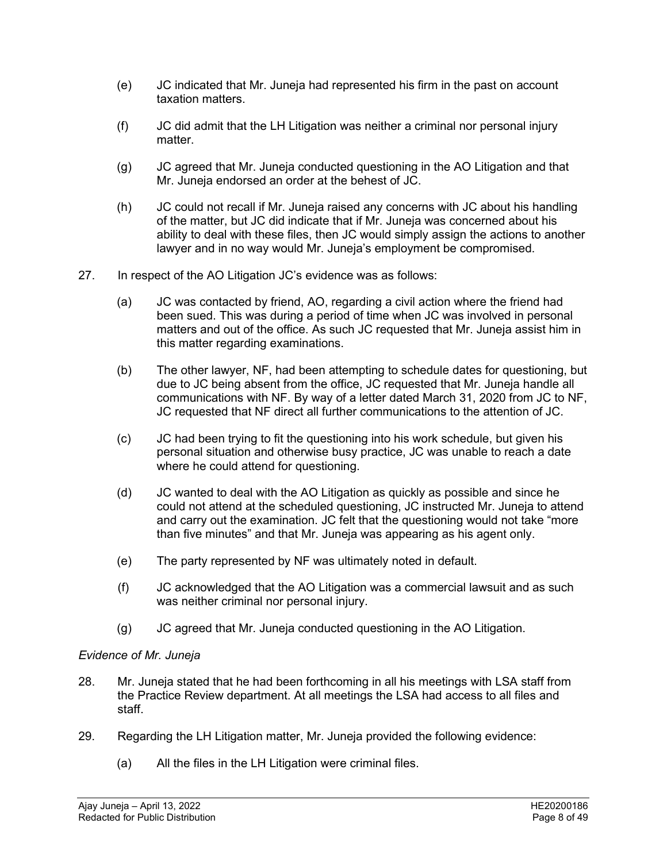- (e) JC indicated that Mr. Juneja had represented his firm in the past on account taxation matters.
- (f) JC did admit that the LH Litigation was neither a criminal nor personal injury matter.
- (g) JC agreed that Mr. Juneja conducted questioning in the AO Litigation and that Mr. Juneja endorsed an order at the behest of JC.
- (h) JC could not recall if Mr. Juneja raised any concerns with JC about his handling of the matter, but JC did indicate that if Mr. Juneja was concerned about his ability to deal with these files, then JC would simply assign the actions to another lawyer and in no way would Mr. Juneja's employment be compromised.
- 27. In respect of the AO Litigation JC's evidence was as follows:
	- (a) JC was contacted by friend, AO, regarding a civil action where the friend had been sued. This was during a period of time when JC was involved in personal matters and out of the office. As such JC requested that Mr. Juneja assist him in this matter regarding examinations.
	- (b) The other lawyer, NF, had been attempting to schedule dates for questioning, but due to JC being absent from the office, JC requested that Mr. Juneja handle all communications with NF. By way of a letter dated March 31, 2020 from JC to NF, JC requested that NF direct all further communications to the attention of JC.
	- (c) JC had been trying to fit the questioning into his work schedule, but given his personal situation and otherwise busy practice, JC was unable to reach a date where he could attend for questioning.
	- (d) JC wanted to deal with the AO Litigation as quickly as possible and since he could not attend at the scheduled questioning, JC instructed Mr. Juneja to attend and carry out the examination. JC felt that the questioning would not take "more than five minutes" and that Mr. Juneja was appearing as his agent only.
	- (e) The party represented by NF was ultimately noted in default.
	- (f) JC acknowledged that the AO Litigation was a commercial lawsuit and as such was neither criminal nor personal injury.
	- (g) JC agreed that Mr. Juneja conducted questioning in the AO Litigation.

# *Evidence of Mr. Juneja*

- 28. Mr. Juneja stated that he had been forthcoming in all his meetings with LSA staff from the Practice Review department. At all meetings the LSA had access to all files and staff.
- 29. Regarding the LH Litigation matter, Mr. Juneja provided the following evidence:
	- (a) All the files in the LH Litigation were criminal files.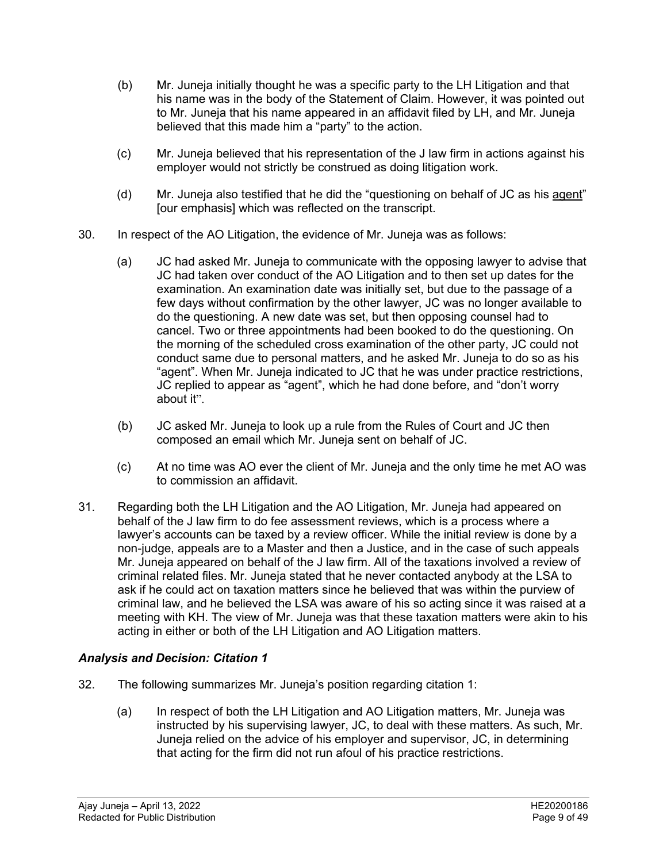- (b) Mr. Juneja initially thought he was a specific party to the LH Litigation and that his name was in the body of the Statement of Claim. However, it was pointed out to Mr. Juneja that his name appeared in an affidavit filed by LH, and Mr. Juneja believed that this made him a "party" to the action.
- (c) Mr. Juneja believed that his representation of the J law firm in actions against his employer would not strictly be construed as doing litigation work.
- (d) Mr. Juneja also testified that he did the "questioning on behalf of JC as his agent" [our emphasis] which was reflected on the transcript.
- 30. In respect of the AO Litigation, the evidence of Mr. Juneja was as follows:
	- (a) JC had asked Mr. Juneja to communicate with the opposing lawyer to advise that JC had taken over conduct of the AO Litigation and to then set up dates for the examination. An examination date was initially set, but due to the passage of a few days without confirmation by the other lawyer, JC was no longer available to do the questioning. A new date was set, but then opposing counsel had to cancel. Two or three appointments had been booked to do the questioning. On the morning of the scheduled cross examination of the other party, JC could not conduct same due to personal matters, and he asked Mr. Juneja to do so as his "agent". When Mr. Juneja indicated to JC that he was under practice restrictions, JC replied to appear as "agent", which he had done before, and "don't worry about it".
	- (b) JC asked Mr. Juneja to look up a rule from the Rules of Court and JC then composed an email which Mr. Juneja sent on behalf of JC.
	- (c) At no time was AO ever the client of Mr. Juneja and the only time he met AO was to commission an affidavit.
- 31. Regarding both the LH Litigation and the AO Litigation, Mr. Juneja had appeared on behalf of the J law firm to do fee assessment reviews, which is a process where a lawyer's accounts can be taxed by a review officer. While the initial review is done by a non-judge, appeals are to a Master and then a Justice, and in the case of such appeals Mr. Juneja appeared on behalf of the J law firm. All of the taxations involved a review of criminal related files. Mr. Juneja stated that he never contacted anybody at the LSA to ask if he could act on taxation matters since he believed that was within the purview of criminal law, and he believed the LSA was aware of his so acting since it was raised at a meeting with KH. The view of Mr. Juneja was that these taxation matters were akin to his acting in either or both of the LH Litigation and AO Litigation matters.

# *Analysis and Decision: Citation 1*

- 32. The following summarizes Mr. Juneja's position regarding citation 1:
	- (a) In respect of both the LH Litigation and AO Litigation matters, Mr. Juneja was instructed by his supervising lawyer, JC, to deal with these matters. As such, Mr. Juneja relied on the advice of his employer and supervisor, JC, in determining that acting for the firm did not run afoul of his practice restrictions.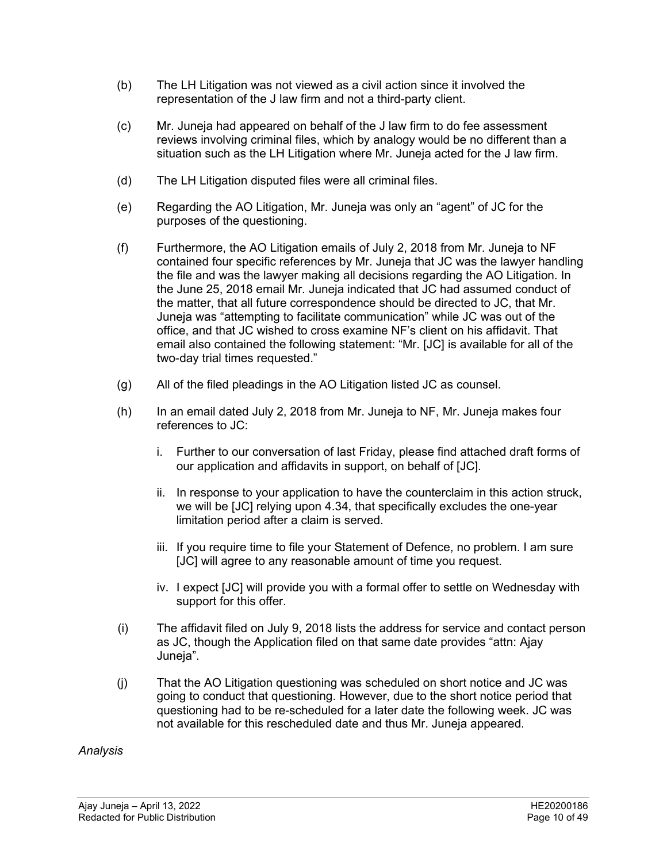- (b) The LH Litigation was not viewed as a civil action since it involved the representation of the J law firm and not a third-party client.
- (c) Mr. Juneja had appeared on behalf of the J law firm to do fee assessment reviews involving criminal files, which by analogy would be no different than a situation such as the LH Litigation where Mr. Juneja acted for the J law firm.
- (d) The LH Litigation disputed files were all criminal files.
- (e) Regarding the AO Litigation, Mr. Juneja was only an "agent" of JC for the purposes of the questioning.
- (f) Furthermore, the AO Litigation emails of July 2, 2018 from Mr. Juneja to NF contained four specific references by Mr. Juneja that JC was the lawyer handling the file and was the lawyer making all decisions regarding the AO Litigation. In the June 25, 2018 email Mr. Juneja indicated that JC had assumed conduct of the matter, that all future correspondence should be directed to JC, that Mr. Juneja was "attempting to facilitate communication" while JC was out of the office, and that JC wished to cross examine NF's client on his affidavit. That email also contained the following statement: "Mr. [JC] is available for all of the two-day trial times requested."
- (g) All of the filed pleadings in the AO Litigation listed JC as counsel.
- (h) In an email dated July 2, 2018 from Mr. Juneja to NF, Mr. Juneja makes four references to JC:
	- i. Further to our conversation of last Friday, please find attached draft forms of our application and affidavits in support, on behalf of [JC].
	- ii. In response to your application to have the counterclaim in this action struck, we will be [JC] relying upon 4.34, that specifically excludes the one-year limitation period after a claim is served.
	- iii. If you require time to file your Statement of Defence, no problem. I am sure [JC] will agree to any reasonable amount of time you request.
	- iv. I expect [JC] will provide you with a formal offer to settle on Wednesday with support for this offer.
- (i) The affidavit filed on July 9, 2018 lists the address for service and contact person as JC, though the Application filed on that same date provides "attn: Ajay Juneja".
- (j) That the AO Litigation questioning was scheduled on short notice and JC was going to conduct that questioning. However, due to the short notice period that questioning had to be re-scheduled for a later date the following week. JC was not available for this rescheduled date and thus Mr. Juneja appeared.

#### *Analysis*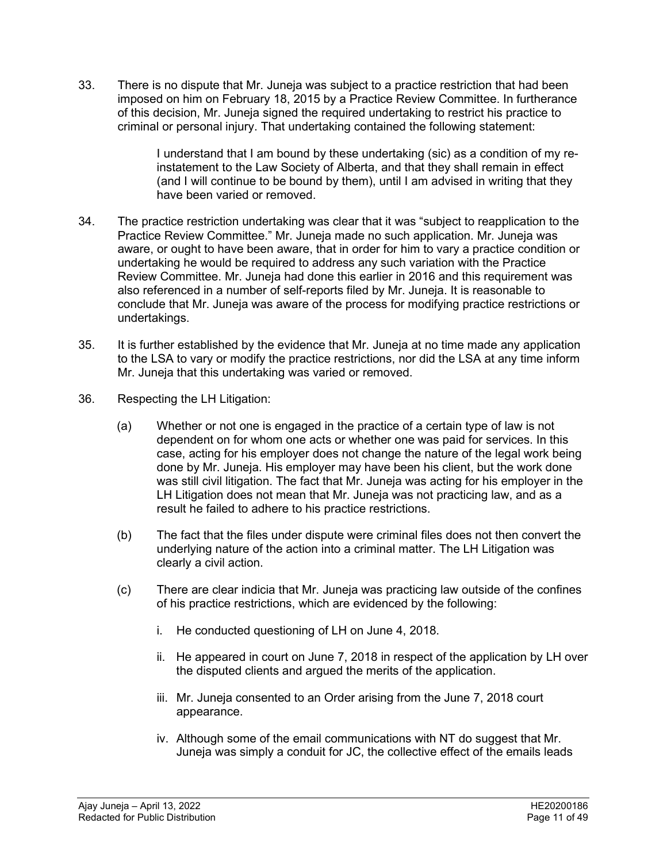33. There is no dispute that Mr. Juneja was subject to a practice restriction that had been imposed on him on February 18, 2015 by a Practice Review Committee. In furtherance of this decision, Mr. Juneja signed the required undertaking to restrict his practice to criminal or personal injury. That undertaking contained the following statement:

> I understand that I am bound by these undertaking (sic) as a condition of my reinstatement to the Law Society of Alberta, and that they shall remain in effect (and I will continue to be bound by them), until I am advised in writing that they have been varied or removed.

- 34. The practice restriction undertaking was clear that it was "subject to reapplication to the Practice Review Committee." Mr. Juneja made no such application. Mr. Juneja was aware, or ought to have been aware, that in order for him to vary a practice condition or undertaking he would be required to address any such variation with the Practice Review Committee. Mr. Juneja had done this earlier in 2016 and this requirement was also referenced in a number of self-reports filed by Mr. Juneja. It is reasonable to conclude that Mr. Juneja was aware of the process for modifying practice restrictions or undertakings.
- 35. It is further established by the evidence that Mr. Juneja at no time made any application to the LSA to vary or modify the practice restrictions, nor did the LSA at any time inform Mr. Juneja that this undertaking was varied or removed.
- 36. Respecting the LH Litigation:
	- (a) Whether or not one is engaged in the practice of a certain type of law is not dependent on for whom one acts or whether one was paid for services. In this case, acting for his employer does not change the nature of the legal work being done by Mr. Juneja. His employer may have been his client, but the work done was still civil litigation. The fact that Mr. Juneja was acting for his employer in the LH Litigation does not mean that Mr. Juneja was not practicing law, and as a result he failed to adhere to his practice restrictions.
	- (b) The fact that the files under dispute were criminal files does not then convert the underlying nature of the action into a criminal matter. The LH Litigation was clearly a civil action.
	- (c) There are clear indicia that Mr. Juneja was practicing law outside of the confines of his practice restrictions, which are evidenced by the following:
		- i. He conducted questioning of LH on June 4, 2018.
		- ii. He appeared in court on June 7, 2018 in respect of the application by LH over the disputed clients and argued the merits of the application.
		- iii. Mr. Juneja consented to an Order arising from the June 7, 2018 court appearance.
		- iv. Although some of the email communications with NT do suggest that Mr. Juneja was simply a conduit for JC, the collective effect of the emails leads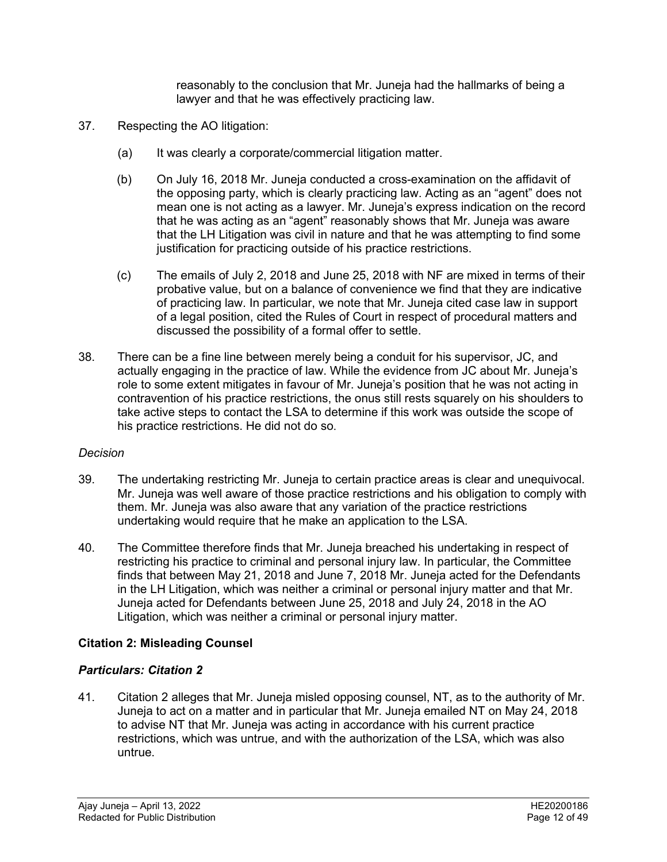reasonably to the conclusion that Mr. Juneja had the hallmarks of being a lawyer and that he was effectively practicing law.

- 37. Respecting the AO litigation:
	- (a) It was clearly a corporate/commercial litigation matter.
	- (b) On July 16, 2018 Mr. Juneja conducted a cross-examination on the affidavit of the opposing party, which is clearly practicing law. Acting as an "agent" does not mean one is not acting as a lawyer. Mr. Juneja's express indication on the record that he was acting as an "agent" reasonably shows that Mr. Juneja was aware that the LH Litigation was civil in nature and that he was attempting to find some justification for practicing outside of his practice restrictions.
	- (c) The emails of July 2, 2018 and June 25, 2018 with NF are mixed in terms of their probative value, but on a balance of convenience we find that they are indicative of practicing law. In particular, we note that Mr. Juneja cited case law in support of a legal position, cited the Rules of Court in respect of procedural matters and discussed the possibility of a formal offer to settle.
- 38. There can be a fine line between merely being a conduit for his supervisor, JC, and actually engaging in the practice of law. While the evidence from JC about Mr. Juneja's role to some extent mitigates in favour of Mr. Juneja's position that he was not acting in contravention of his practice restrictions, the onus still rests squarely on his shoulders to take active steps to contact the LSA to determine if this work was outside the scope of his practice restrictions. He did not do so.

#### *Decision*

- 39. The undertaking restricting Mr. Juneja to certain practice areas is clear and unequivocal. Mr. Juneja was well aware of those practice restrictions and his obligation to comply with them. Mr. Juneja was also aware that any variation of the practice restrictions undertaking would require that he make an application to the LSA.
- 40. The Committee therefore finds that Mr. Juneja breached his undertaking in respect of restricting his practice to criminal and personal injury law. In particular, the Committee finds that between May 21, 2018 and June 7, 2018 Mr. Juneja acted for the Defendants in the LH Litigation, which was neither a criminal or personal injury matter and that Mr. Juneja acted for Defendants between June 25, 2018 and July 24, 2018 in the AO Litigation, which was neither a criminal or personal injury matter.

#### **Citation 2: Misleading Counsel**

#### *Particulars: Citation 2*

41. Citation 2 alleges that Mr. Juneja misled opposing counsel, NT, as to the authority of Mr. Juneja to act on a matter and in particular that Mr. Juneja emailed NT on May 24, 2018 to advise NT that Mr. Juneja was acting in accordance with his current practice restrictions, which was untrue, and with the authorization of the LSA, which was also untrue.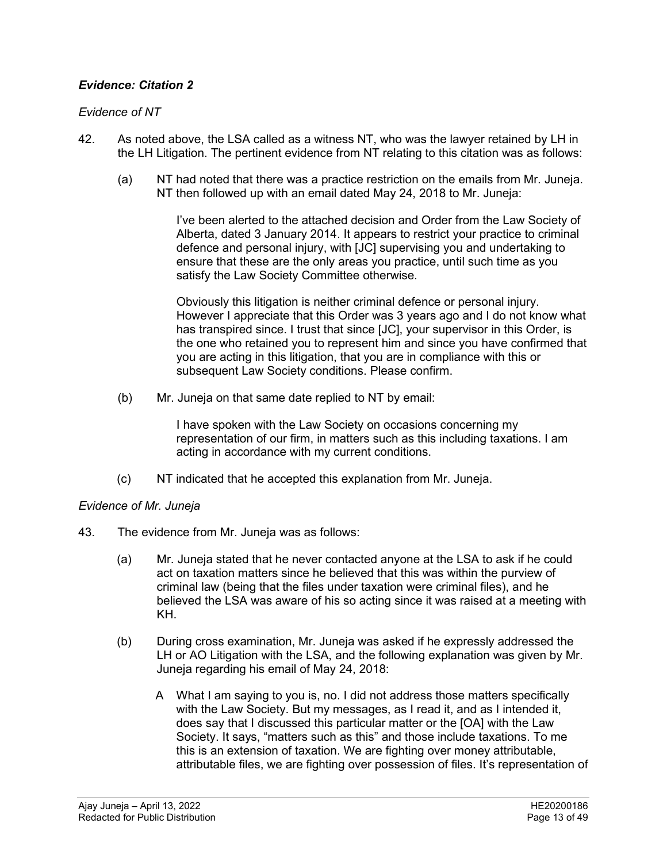# *Evidence: Citation 2*

### *Evidence of NT*

- 42. As noted above, the LSA called as a witness NT, who was the lawyer retained by LH in the LH Litigation. The pertinent evidence from NT relating to this citation was as follows:
	- (a) NT had noted that there was a practice restriction on the emails from Mr. Juneja. NT then followed up with an email dated May 24, 2018 to Mr. Juneja:

I've been alerted to the attached decision and Order from the Law Society of Alberta, dated 3 January 2014. It appears to restrict your practice to criminal defence and personal injury, with [JC] supervising you and undertaking to ensure that these are the only areas you practice, until such time as you satisfy the Law Society Committee otherwise.

Obviously this litigation is neither criminal defence or personal injury. However I appreciate that this Order was 3 years ago and I do not know what has transpired since. I trust that since [JC], your supervisor in this Order, is the one who retained you to represent him and since you have confirmed that you are acting in this litigation, that you are in compliance with this or subsequent Law Society conditions. Please confirm.

(b) Mr. Juneja on that same date replied to NT by email:

I have spoken with the Law Society on occasions concerning my representation of our firm, in matters such as this including taxations. I am acting in accordance with my current conditions.

(c) NT indicated that he accepted this explanation from Mr. Juneja.

# *Evidence of Mr. Juneja*

- 43. The evidence from Mr. Juneja was as follows:
	- (a) Mr. Juneja stated that he never contacted anyone at the LSA to ask if he could act on taxation matters since he believed that this was within the purview of criminal law (being that the files under taxation were criminal files), and he believed the LSA was aware of his so acting since it was raised at a meeting with KH.
	- (b) During cross examination, Mr. Juneja was asked if he expressly addressed the LH or AO Litigation with the LSA, and the following explanation was given by Mr. Juneja regarding his email of May 24, 2018:
		- A What I am saying to you is, no. I did not address those matters specifically with the Law Society. But my messages, as I read it, and as I intended it, does say that I discussed this particular matter or the [OA] with the Law Society. It says, "matters such as this" and those include taxations. To me this is an extension of taxation. We are fighting over money attributable, attributable files, we are fighting over possession of files. It's representation of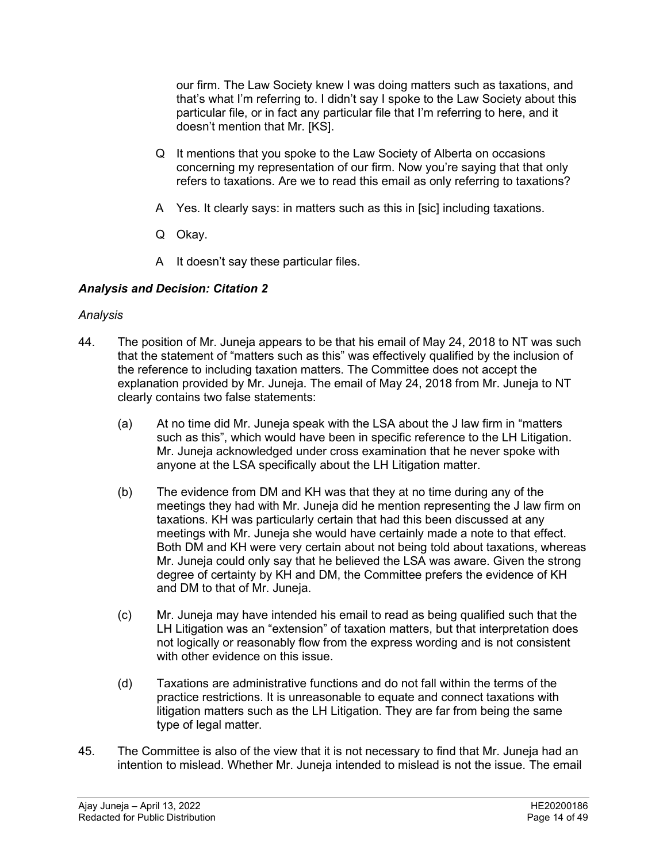our firm. The Law Society knew I was doing matters such as taxations, and that's what I'm referring to. I didn't say I spoke to the Law Society about this particular file, or in fact any particular file that I'm referring to here, and it doesn't mention that Mr. [KS].

- Q It mentions that you spoke to the Law Society of Alberta on occasions concerning my representation of our firm. Now you're saying that that only refers to taxations. Are we to read this email as only referring to taxations?
- A Yes. It clearly says: in matters such as this in [sic] including taxations.
- Q Okay.
- A It doesn't say these particular files.

# *Analysis and Decision: Citation 2*

### *Analysis*

- 44. The position of Mr. Juneja appears to be that his email of May 24, 2018 to NT was such that the statement of "matters such as this" was effectively qualified by the inclusion of the reference to including taxation matters. The Committee does not accept the explanation provided by Mr. Juneja. The email of May 24, 2018 from Mr. Juneja to NT clearly contains two false statements:
	- (a) At no time did Mr. Juneja speak with the LSA about the J law firm in "matters such as this", which would have been in specific reference to the LH Litigation. Mr. Juneja acknowledged under cross examination that he never spoke with anyone at the LSA specifically about the LH Litigation matter.
	- (b) The evidence from DM and KH was that they at no time during any of the meetings they had with Mr. Juneja did he mention representing the J law firm on taxations. KH was particularly certain that had this been discussed at any meetings with Mr. Juneja she would have certainly made a note to that effect. Both DM and KH were very certain about not being told about taxations, whereas Mr. Juneja could only say that he believed the LSA was aware. Given the strong degree of certainty by KH and DM, the Committee prefers the evidence of KH and DM to that of Mr. Juneja.
	- (c) Mr. Juneja may have intended his email to read as being qualified such that the LH Litigation was an "extension" of taxation matters, but that interpretation does not logically or reasonably flow from the express wording and is not consistent with other evidence on this issue.
	- (d) Taxations are administrative functions and do not fall within the terms of the practice restrictions. It is unreasonable to equate and connect taxations with litigation matters such as the LH Litigation. They are far from being the same type of legal matter.
- 45. The Committee is also of the view that it is not necessary to find that Mr. Juneja had an intention to mislead. Whether Mr. Juneja intended to mislead is not the issue. The email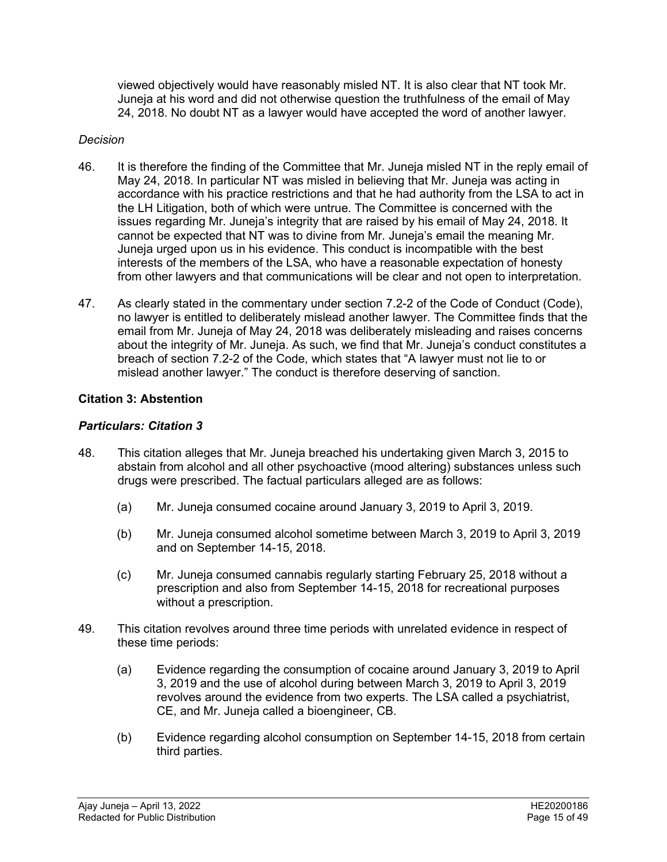viewed objectively would have reasonably misled NT. It is also clear that NT took Mr. Juneja at his word and did not otherwise question the truthfulness of the email of May 24, 2018. No doubt NT as a lawyer would have accepted the word of another lawyer.

#### *Decision*

- 46. It is therefore the finding of the Committee that Mr. Juneja misled NT in the reply email of May 24, 2018. In particular NT was misled in believing that Mr. Juneja was acting in accordance with his practice restrictions and that he had authority from the LSA to act in the LH Litigation, both of which were untrue. The Committee is concerned with the issues regarding Mr. Juneja's integrity that are raised by his email of May 24, 2018. It cannot be expected that NT was to divine from Mr. Juneja's email the meaning Mr. Juneja urged upon us in his evidence. This conduct is incompatible with the best interests of the members of the LSA, who have a reasonable expectation of honesty from other lawyers and that communications will be clear and not open to interpretation.
- 47. As clearly stated in the commentary under section 7.2-2 of the Code of Conduct (Code), no lawyer is entitled to deliberately mislead another lawyer. The Committee finds that the email from Mr. Juneja of May 24, 2018 was deliberately misleading and raises concerns about the integrity of Mr. Juneja. As such, we find that Mr. Juneja's conduct constitutes a breach of section 7.2-2 of the Code, which states that "A lawyer must not lie to or mislead another lawyer." The conduct is therefore deserving of sanction.

# **Citation 3: Abstention**

# *Particulars: Citation 3*

- 48. This citation alleges that Mr. Juneja breached his undertaking given March 3, 2015 to abstain from alcohol and all other psychoactive (mood altering) substances unless such drugs were prescribed. The factual particulars alleged are as follows:
	- (a) Mr. Juneja consumed cocaine around January 3, 2019 to April 3, 2019.
	- (b) Mr. Juneja consumed alcohol sometime between March 3, 2019 to April 3, 2019 and on September 14-15, 2018.
	- (c) Mr. Juneja consumed cannabis regularly starting February 25, 2018 without a prescription and also from September 14-15, 2018 for recreational purposes without a prescription.
- 49. This citation revolves around three time periods with unrelated evidence in respect of these time periods:
	- (a) Evidence regarding the consumption of cocaine around January 3, 2019 to April 3, 2019 and the use of alcohol during between March 3, 2019 to April 3, 2019 revolves around the evidence from two experts. The LSA called a psychiatrist, CE, and Mr. Juneja called a bioengineer, CB.
	- (b) Evidence regarding alcohol consumption on September 14-15, 2018 from certain third parties.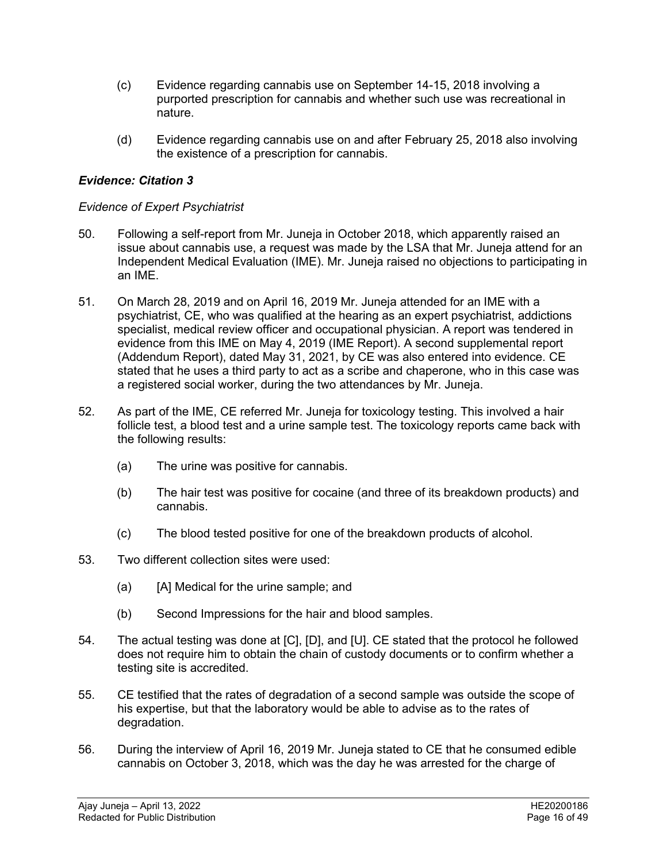- (c) Evidence regarding cannabis use on September 14-15, 2018 involving a purported prescription for cannabis and whether such use was recreational in nature.
- (d) Evidence regarding cannabis use on and after February 25, 2018 also involving the existence of a prescription for cannabis.

### *Evidence: Citation 3*

#### *Evidence of Expert Psychiatrist*

- 50. Following a self-report from Mr. Juneja in October 2018, which apparently raised an issue about cannabis use, a request was made by the LSA that Mr. Juneja attend for an Independent Medical Evaluation (IME). Mr. Juneja raised no objections to participating in an IME.
- 51. On March 28, 2019 and on April 16, 2019 Mr. Juneja attended for an IME with a psychiatrist, CE, who was qualified at the hearing as an expert psychiatrist, addictions specialist, medical review officer and occupational physician. A report was tendered in evidence from this IME on May 4, 2019 (IME Report). A second supplemental report (Addendum Report), dated May 31, 2021, by CE was also entered into evidence. CE stated that he uses a third party to act as a scribe and chaperone, who in this case was a registered social worker, during the two attendances by Mr. Juneja.
- 52. As part of the IME, CE referred Mr. Juneja for toxicology testing. This involved a hair follicle test, a blood test and a urine sample test. The toxicology reports came back with the following results:
	- (a) The urine was positive for cannabis.
	- (b) The hair test was positive for cocaine (and three of its breakdown products) and cannabis.
	- (c) The blood tested positive for one of the breakdown products of alcohol.
- 53. Two different collection sites were used:
	- (a) [A] Medical for the urine sample; and
	- (b) Second Impressions for the hair and blood samples.
- 54. The actual testing was done at [C], [D], and [U]. CE stated that the protocol he followed does not require him to obtain the chain of custody documents or to confirm whether a testing site is accredited.
- 55. CE testified that the rates of degradation of a second sample was outside the scope of his expertise, but that the laboratory would be able to advise as to the rates of degradation.
- 56. During the interview of April 16, 2019 Mr. Juneja stated to CE that he consumed edible cannabis on October 3, 2018, which was the day he was arrested for the charge of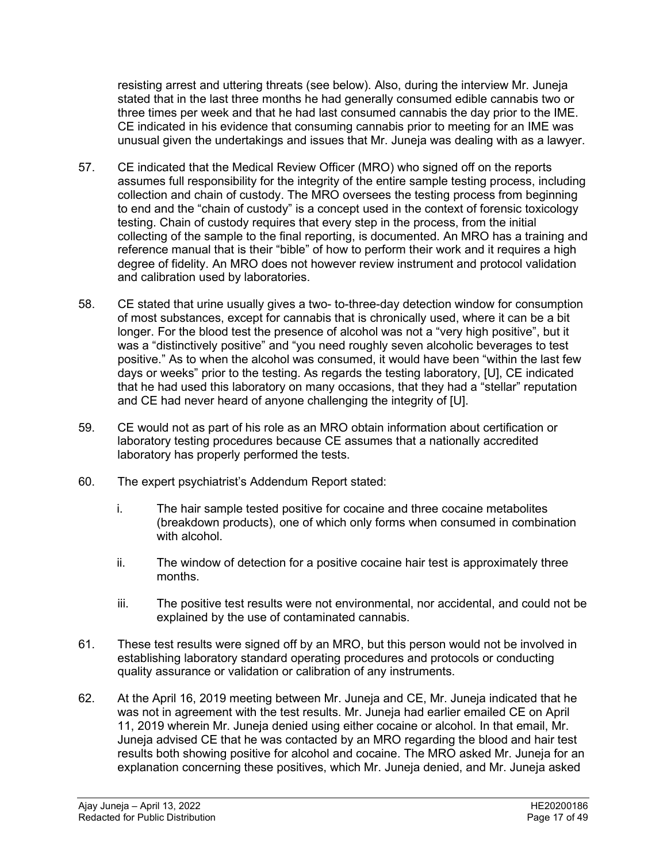resisting arrest and uttering threats (see below). Also, during the interview Mr. Juneja stated that in the last three months he had generally consumed edible cannabis two or three times per week and that he had last consumed cannabis the day prior to the IME. CE indicated in his evidence that consuming cannabis prior to meeting for an IME was unusual given the undertakings and issues that Mr. Juneja was dealing with as a lawyer.

- 57. CE indicated that the Medical Review Officer (MRO) who signed off on the reports assumes full responsibility for the integrity of the entire sample testing process, including collection and chain of custody. The MRO oversees the testing process from beginning to end and the "chain of custody" is a concept used in the context of forensic toxicology testing. Chain of custody requires that every step in the process, from the initial collecting of the sample to the final reporting, is documented. An MRO has a training and reference manual that is their "bible" of how to perform their work and it requires a high degree of fidelity. An MRO does not however review instrument and protocol validation and calibration used by laboratories.
- 58. CE stated that urine usually gives a two- to-three-day detection window for consumption of most substances, except for cannabis that is chronically used, where it can be a bit longer. For the blood test the presence of alcohol was not a "very high positive", but it was a "distinctively positive" and "you need roughly seven alcoholic beverages to test positive." As to when the alcohol was consumed, it would have been "within the last few days or weeks" prior to the testing. As regards the testing laboratory, [U], CE indicated that he had used this laboratory on many occasions, that they had a "stellar" reputation and CE had never heard of anyone challenging the integrity of [U].
- 59. CE would not as part of his role as an MRO obtain information about certification or laboratory testing procedures because CE assumes that a nationally accredited laboratory has properly performed the tests.
- 60. The expert psychiatrist's Addendum Report stated:
	- i. The hair sample tested positive for cocaine and three cocaine metabolites (breakdown products), one of which only forms when consumed in combination with alcohol.
	- ii. The window of detection for a positive cocaine hair test is approximately three months.
	- iii. The positive test results were not environmental, nor accidental, and could not be explained by the use of contaminated cannabis.
- 61. These test results were signed off by an MRO, but this person would not be involved in establishing laboratory standard operating procedures and protocols or conducting quality assurance or validation or calibration of any instruments.
- 62. At the April 16, 2019 meeting between Mr. Juneja and CE, Mr. Juneja indicated that he was not in agreement with the test results. Mr. Juneja had earlier emailed CE on April 11, 2019 wherein Mr. Juneja denied using either cocaine or alcohol. In that email, Mr. Juneja advised CE that he was contacted by an MRO regarding the blood and hair test results both showing positive for alcohol and cocaine. The MRO asked Mr. Juneja for an explanation concerning these positives, which Mr. Juneja denied, and Mr. Juneja asked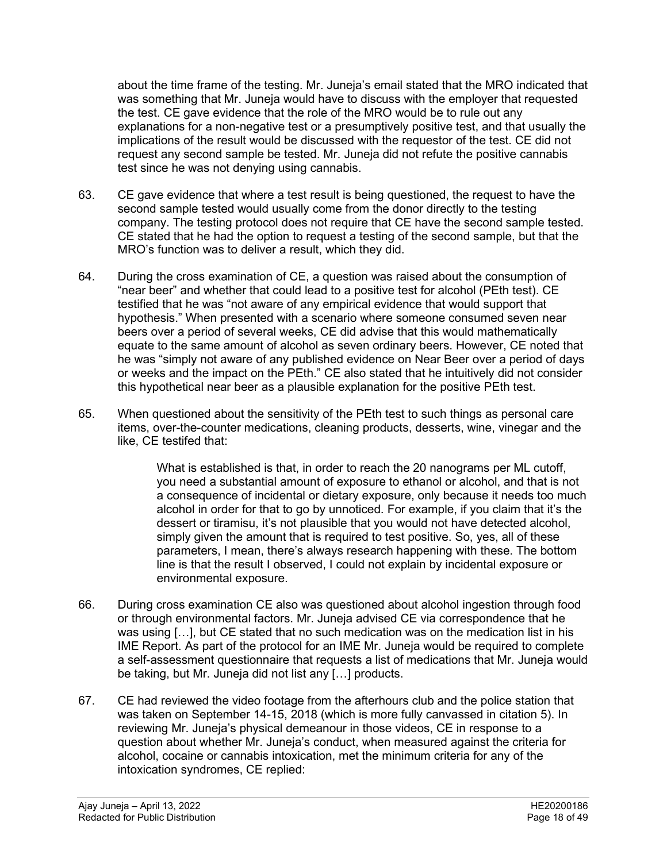about the time frame of the testing. Mr. Juneja's email stated that the MRO indicated that was something that Mr. Juneja would have to discuss with the employer that requested the test. CE gave evidence that the role of the MRO would be to rule out any explanations for a non-negative test or a presumptively positive test, and that usually the implications of the result would be discussed with the requestor of the test. CE did not request any second sample be tested. Mr. Juneja did not refute the positive cannabis test since he was not denying using cannabis.

- 63. CE gave evidence that where a test result is being questioned, the request to have the second sample tested would usually come from the donor directly to the testing company. The testing protocol does not require that CE have the second sample tested. CE stated that he had the option to request a testing of the second sample, but that the MRO's function was to deliver a result, which they did.
- 64. During the cross examination of CE, a question was raised about the consumption of "near beer" and whether that could lead to a positive test for alcohol (PEth test). CE testified that he was "not aware of any empirical evidence that would support that hypothesis." When presented with a scenario where someone consumed seven near beers over a period of several weeks, CE did advise that this would mathematically equate to the same amount of alcohol as seven ordinary beers. However, CE noted that he was "simply not aware of any published evidence on Near Beer over a period of days or weeks and the impact on the PEth." CE also stated that he intuitively did not consider this hypothetical near beer as a plausible explanation for the positive PEth test.
- 65. When questioned about the sensitivity of the PEth test to such things as personal care items, over-the-counter medications, cleaning products, desserts, wine, vinegar and the like, CE testifed that:

What is established is that, in order to reach the 20 nanograms per ML cutoff, you need a substantial amount of exposure to ethanol or alcohol, and that is not a consequence of incidental or dietary exposure, only because it needs too much alcohol in order for that to go by unnoticed. For example, if you claim that it's the dessert or tiramisu, it's not plausible that you would not have detected alcohol, simply given the amount that is required to test positive. So, yes, all of these parameters, I mean, there's always research happening with these. The bottom line is that the result I observed, I could not explain by incidental exposure or environmental exposure.

- 66. During cross examination CE also was questioned about alcohol ingestion through food or through environmental factors. Mr. Juneja advised CE via correspondence that he was using […], but CE stated that no such medication was on the medication list in his IME Report. As part of the protocol for an IME Mr. Juneja would be required to complete a self-assessment questionnaire that requests a list of medications that Mr. Juneja would be taking, but Mr. Juneja did not list any […] products.
- 67. CE had reviewed the video footage from the afterhours club and the police station that was taken on September 14-15, 2018 (which is more fully canvassed in citation 5). In reviewing Mr. Juneja's physical demeanour in those videos, CE in response to a question about whether Mr. Juneja's conduct, when measured against the criteria for alcohol, cocaine or cannabis intoxication, met the minimum criteria for any of the intoxication syndromes, CE replied: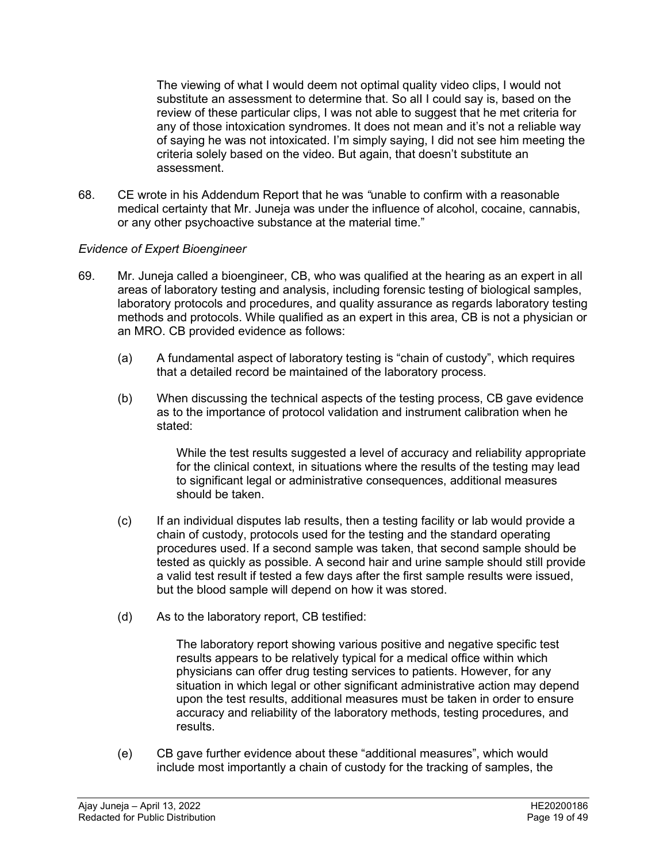The viewing of what I would deem not optimal quality video clips, I would not substitute an assessment to determine that. So alI I could say is, based on the review of these particular clips, I was not able to suggest that he met criteria for any of those intoxication syndromes. It does not mean and it's not a reliable way of saying he was not intoxicated. I'm simply saying, I did not see him meeting the criteria solely based on the video. But again, that doesn't substitute an assessment.

68. CE wrote in his Addendum Report that he was *"*unable to confirm with a reasonable medical certainty that Mr. Juneja was under the influence of alcohol, cocaine, cannabis, or any other psychoactive substance at the material time."

### *Evidence of Expert Bioengineer*

- 69. Mr. Juneja called a bioengineer, CB, who was qualified at the hearing as an expert in all areas of laboratory testing and analysis, including forensic testing of biological samples, laboratory protocols and procedures, and quality assurance as regards laboratory testing methods and protocols. While qualified as an expert in this area, CB is not a physician or an MRO. CB provided evidence as follows:
	- (a) A fundamental aspect of laboratory testing is "chain of custody", which requires that a detailed record be maintained of the laboratory process.
	- (b) When discussing the technical aspects of the testing process, CB gave evidence as to the importance of protocol validation and instrument calibration when he stated:

While the test results suggested a level of accuracy and reliability appropriate for the clinical context, in situations where the results of the testing may lead to significant legal or administrative consequences, additional measures should be taken.

- (c) If an individual disputes lab results, then a testing facility or lab would provide a chain of custody, protocols used for the testing and the standard operating procedures used. If a second sample was taken, that second sample should be tested as quickly as possible. A second hair and urine sample should still provide a valid test result if tested a few days after the first sample results were issued, but the blood sample will depend on how it was stored.
- (d) As to the laboratory report, CB testified:

The laboratory report showing various positive and negative specific test results appears to be relatively typical for a medical office within which physicians can offer drug testing services to patients. However, for any situation in which legal or other significant administrative action may depend upon the test results, additional measures must be taken in order to ensure accuracy and reliability of the laboratory methods, testing procedures, and results.

(e) CB gave further evidence about these "additional measures", which would include most importantly a chain of custody for the tracking of samples, the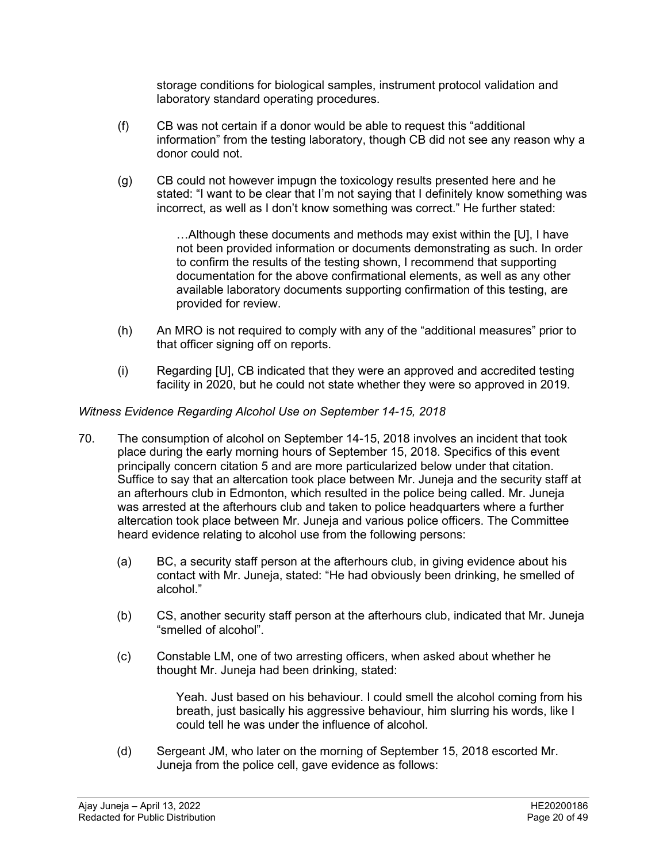storage conditions for biological samples, instrument protocol validation and laboratory standard operating procedures.

- (f) CB was not certain if a donor would be able to request this "additional information" from the testing laboratory, though CB did not see any reason why a donor could not.
- (g) CB could not however impugn the toxicology results presented here and he stated: "I want to be clear that I'm not saying that I definitely know something was incorrect, as well as I don't know something was correct." He further stated:

…Although these documents and methods may exist within the [U], I have not been provided information or documents demonstrating as such. In order to confirm the results of the testing shown, I recommend that supporting documentation for the above confirmational elements, as well as any other available laboratory documents supporting confirmation of this testing, are provided for review.

- (h) An MRO is not required to comply with any of the "additional measures" prior to that officer signing off on reports.
- (i) Regarding [U], CB indicated that they were an approved and accredited testing facility in 2020, but he could not state whether they were so approved in 2019.

# *Witness Evidence Regarding Alcohol Use on September 14-15, 2018*

- 70. The consumption of alcohol on September 14-15, 2018 involves an incident that took place during the early morning hours of September 15, 2018. Specifics of this event principally concern citation 5 and are more particularized below under that citation. Suffice to say that an altercation took place between Mr. Juneja and the security staff at an afterhours club in Edmonton, which resulted in the police being called. Mr. Juneja was arrested at the afterhours club and taken to police headquarters where a further altercation took place between Mr. Juneja and various police officers. The Committee heard evidence relating to alcohol use from the following persons:
	- (a) BC, a security staff person at the afterhours club, in giving evidence about his contact with Mr. Juneja, stated: "He had obviously been drinking, he smelled of alcohol."
	- (b) CS, another security staff person at the afterhours club, indicated that Mr. Juneja "smelled of alcohol".
	- (c) Constable LM, one of two arresting officers, when asked about whether he thought Mr. Juneja had been drinking, stated:

Yeah. Just based on his behaviour. I could smell the alcohol coming from his breath, just basically his aggressive behaviour, him slurring his words, like I could tell he was under the influence of alcohol.

(d) Sergeant JM, who later on the morning of September 15, 2018 escorted Mr. Juneja from the police cell, gave evidence as follows: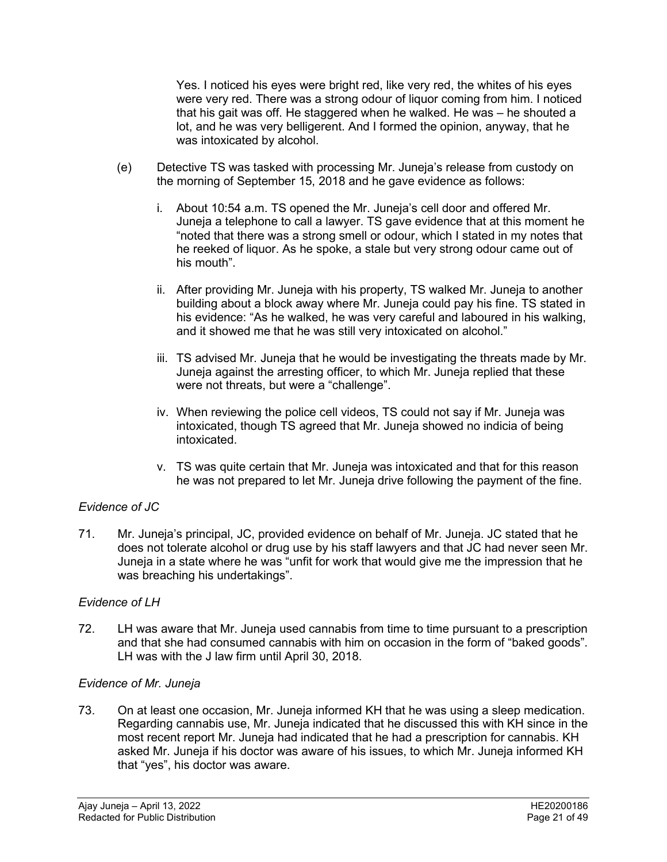Yes. I noticed his eyes were bright red, like very red, the whites of his eyes were very red. There was a strong odour of liquor coming from him. I noticed that his gait was off. He staggered when he walked. He was – he shouted a lot, and he was very belligerent. And I formed the opinion, anyway, that he was intoxicated by alcohol.

- (e) Detective TS was tasked with processing Mr. Juneja's release from custody on the morning of September 15, 2018 and he gave evidence as follows:
	- i. About 10:54 a.m. TS opened the Mr. Juneja's cell door and offered Mr. Juneja a telephone to call a lawyer. TS gave evidence that at this moment he "noted that there was a strong smell or odour, which I stated in my notes that he reeked of liquor. As he spoke, a stale but very strong odour came out of his mouth".
	- ii. After providing Mr. Juneja with his property, TS walked Mr. Juneja to another building about a block away where Mr. Juneja could pay his fine. TS stated in his evidence: "As he walked, he was very careful and laboured in his walking, and it showed me that he was still very intoxicated on alcohol."
	- iii. TS advised Mr. Juneja that he would be investigating the threats made by Mr. Juneja against the arresting officer, to which Mr. Juneja replied that these were not threats, but were a "challenge".
	- iv. When reviewing the police cell videos, TS could not say if Mr. Juneja was intoxicated, though TS agreed that Mr. Juneja showed no indicia of being intoxicated.
	- v. TS was quite certain that Mr. Juneja was intoxicated and that for this reason he was not prepared to let Mr. Juneja drive following the payment of the fine.

# *Evidence of JC*

71. Mr. Juneja's principal, JC, provided evidence on behalf of Mr. Juneja. JC stated that he does not tolerate alcohol or drug use by his staff lawyers and that JC had never seen Mr. Juneja in a state where he was "unfit for work that would give me the impression that he was breaching his undertakings".

#### *Evidence of LH*

72. LH was aware that Mr. Juneja used cannabis from time to time pursuant to a prescription and that she had consumed cannabis with him on occasion in the form of "baked goods". LH was with the J law firm until April 30, 2018.

#### *Evidence of Mr. Juneja*

73. On at least one occasion, Mr. Juneja informed KH that he was using a sleep medication. Regarding cannabis use, Mr. Juneja indicated that he discussed this with KH since in the most recent report Mr. Juneja had indicated that he had a prescription for cannabis. KH asked Mr. Juneja if his doctor was aware of his issues, to which Mr. Juneja informed KH that "yes", his doctor was aware.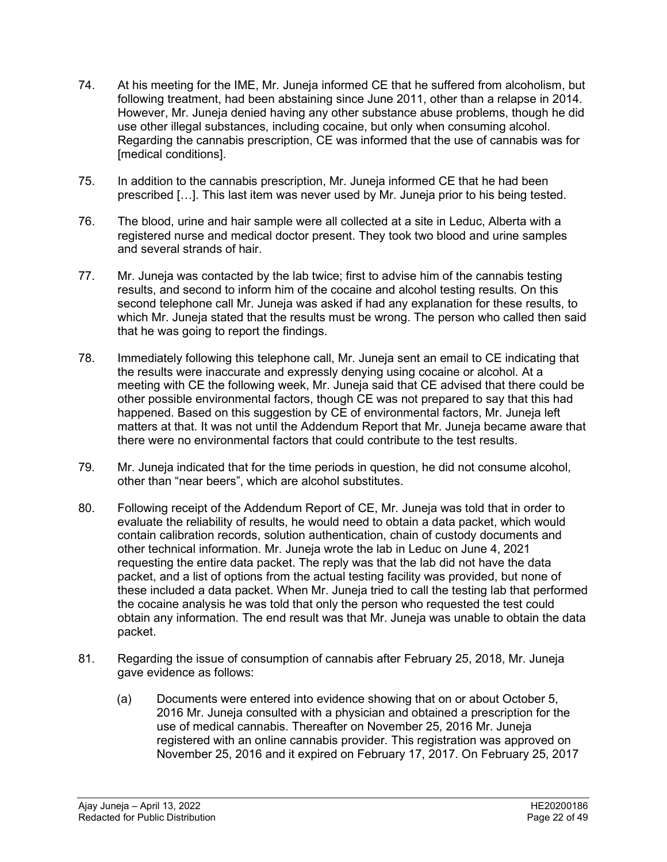- 74. At his meeting for the IME, Mr. Juneja informed CE that he suffered from alcoholism, but following treatment, had been abstaining since June 2011, other than a relapse in 2014. However, Mr. Juneja denied having any other substance abuse problems, though he did use other illegal substances, including cocaine, but only when consuming alcohol. Regarding the cannabis prescription, CE was informed that the use of cannabis was for [medical conditions].
- 75. In addition to the cannabis prescription, Mr. Juneja informed CE that he had been prescribed […]. This last item was never used by Mr. Juneja prior to his being tested.
- 76. The blood, urine and hair sample were all collected at a site in Leduc, Alberta with a registered nurse and medical doctor present. They took two blood and urine samples and several strands of hair.
- 77. Mr. Juneja was contacted by the lab twice; first to advise him of the cannabis testing results, and second to inform him of the cocaine and alcohol testing results. On this second telephone call Mr. Juneja was asked if had any explanation for these results, to which Mr. Juneja stated that the results must be wrong. The person who called then said that he was going to report the findings.
- 78. Immediately following this telephone call, Mr. Juneja sent an email to CE indicating that the results were inaccurate and expressly denying using cocaine or alcohol. At a meeting with CE the following week, Mr. Juneja said that CE advised that there could be other possible environmental factors, though CE was not prepared to say that this had happened. Based on this suggestion by CE of environmental factors, Mr. Juneja left matters at that. It was not until the Addendum Report that Mr. Juneja became aware that there were no environmental factors that could contribute to the test results.
- 79. Mr. Juneja indicated that for the time periods in question, he did not consume alcohol, other than "near beers", which are alcohol substitutes.
- 80. Following receipt of the Addendum Report of CE, Mr. Juneja was told that in order to evaluate the reliability of results, he would need to obtain a data packet, which would contain calibration records, solution authentication, chain of custody documents and other technical information. Mr. Juneja wrote the lab in Leduc on June 4, 2021 requesting the entire data packet. The reply was that the lab did not have the data packet, and a list of options from the actual testing facility was provided, but none of these included a data packet. When Mr. Juneja tried to call the testing lab that performed the cocaine analysis he was told that only the person who requested the test could obtain any information. The end result was that Mr. Juneja was unable to obtain the data packet.
- 81. Regarding the issue of consumption of cannabis after February 25, 2018, Mr. Juneja gave evidence as follows:
	- (a) Documents were entered into evidence showing that on or about October 5, 2016 Mr. Juneja consulted with a physician and obtained a prescription for the use of medical cannabis. Thereafter on November 25, 2016 Mr. Juneja registered with an online cannabis provider. This registration was approved on November 25, 2016 and it expired on February 17, 2017. On February 25, 2017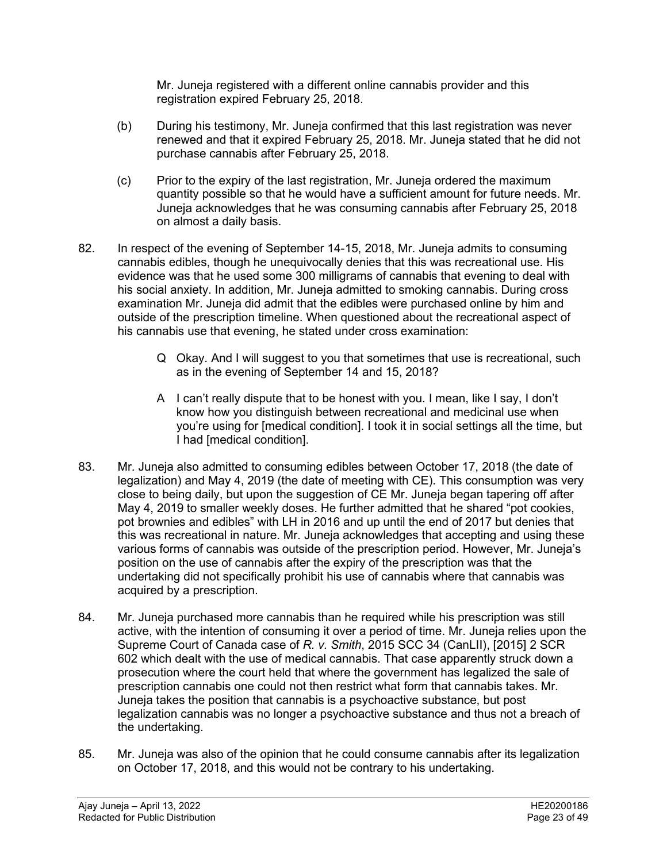Mr. Juneja registered with a different online cannabis provider and this registration expired February 25, 2018.

- (b) During his testimony, Mr. Juneja confirmed that this last registration was never renewed and that it expired February 25, 2018. Mr. Juneja stated that he did not purchase cannabis after February 25, 2018.
- (c) Prior to the expiry of the last registration, Mr. Juneja ordered the maximum quantity possible so that he would have a sufficient amount for future needs. Mr. Juneja acknowledges that he was consuming cannabis after February 25, 2018 on almost a daily basis.
- 82. In respect of the evening of September 14-15, 2018, Mr. Juneja admits to consuming cannabis edibles, though he unequivocally denies that this was recreational use. His evidence was that he used some 300 milligrams of cannabis that evening to deal with his social anxiety. In addition, Mr. Juneja admitted to smoking cannabis. During cross examination Mr. Juneja did admit that the edibles were purchased online by him and outside of the prescription timeline. When questioned about the recreational aspect of his cannabis use that evening, he stated under cross examination:
	- Q Okay. And I will suggest to you that sometimes that use is recreational, such as in the evening of September 14 and 15, 2018?
	- A I can't really dispute that to be honest with you. I mean, like I say, I don't know how you distinguish between recreational and medicinal use when you're using for [medical condition]. I took it in social settings all the time, but I had [medical condition].
- 83. Mr. Juneja also admitted to consuming edibles between October 17, 2018 (the date of legalization) and May 4, 2019 (the date of meeting with CE). This consumption was very close to being daily, but upon the suggestion of CE Mr. Juneja began tapering off after May 4, 2019 to smaller weekly doses. He further admitted that he shared "pot cookies, pot brownies and edibles" with LH in 2016 and up until the end of 2017 but denies that this was recreational in nature. Mr. Juneja acknowledges that accepting and using these various forms of cannabis was outside of the prescription period. However, Mr. Juneja's position on the use of cannabis after the expiry of the prescription was that the undertaking did not specifically prohibit his use of cannabis where that cannabis was acquired by a prescription.
- 84. Mr. Juneja purchased more cannabis than he required while his prescription was still active, with the intention of consuming it over a period of time. Mr. Juneja relies upon the Supreme Court of Canada case of *R. v. Smith*, 2015 SCC 34 (CanLII), [2015] 2 SCR 602 which dealt with the use of medical cannabis. That case apparently struck down a prosecution where the court held that where the government has legalized the sale of prescription cannabis one could not then restrict what form that cannabis takes. Mr. Juneja takes the position that cannabis is a psychoactive substance, but post legalization cannabis was no longer a psychoactive substance and thus not a breach of the undertaking.
- 85. Mr. Juneja was also of the opinion that he could consume cannabis after its legalization on October 17, 2018, and this would not be contrary to his undertaking.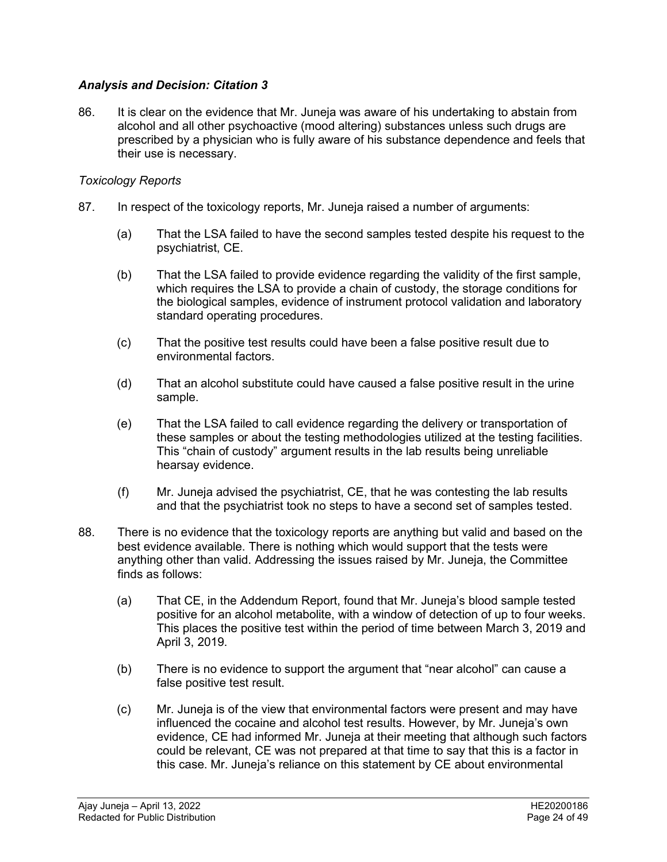# *Analysis and Decision: Citation 3*

86. It is clear on the evidence that Mr. Juneja was aware of his undertaking to abstain from alcohol and all other psychoactive (mood altering) substances unless such drugs are prescribed by a physician who is fully aware of his substance dependence and feels that their use is necessary.

#### *Toxicology Reports*

- 87. In respect of the toxicology reports, Mr. Juneja raised a number of arguments:
	- (a) That the LSA failed to have the second samples tested despite his request to the psychiatrist, CE.
	- (b) That the LSA failed to provide evidence regarding the validity of the first sample, which requires the LSA to provide a chain of custody, the storage conditions for the biological samples, evidence of instrument protocol validation and laboratory standard operating procedures.
	- (c) That the positive test results could have been a false positive result due to environmental factors.
	- (d) That an alcohol substitute could have caused a false positive result in the urine sample.
	- (e) That the LSA failed to call evidence regarding the delivery or transportation of these samples or about the testing methodologies utilized at the testing facilities. This "chain of custody" argument results in the lab results being unreliable hearsay evidence.
	- (f) Mr. Juneja advised the psychiatrist, CE, that he was contesting the lab results and that the psychiatrist took no steps to have a second set of samples tested.
- 88. There is no evidence that the toxicology reports are anything but valid and based on the best evidence available. There is nothing which would support that the tests were anything other than valid. Addressing the issues raised by Mr. Juneja, the Committee finds as follows:
	- (a) That CE, in the Addendum Report, found that Mr. Juneja's blood sample tested positive for an alcohol metabolite, with a window of detection of up to four weeks. This places the positive test within the period of time between March 3, 2019 and April 3, 2019.
	- (b) There is no evidence to support the argument that "near alcohol" can cause a false positive test result.
	- (c) Mr. Juneja is of the view that environmental factors were present and may have influenced the cocaine and alcohol test results. However, by Mr. Juneja's own evidence, CE had informed Mr. Juneja at their meeting that although such factors could be relevant, CE was not prepared at that time to say that this is a factor in this case. Mr. Juneja's reliance on this statement by CE about environmental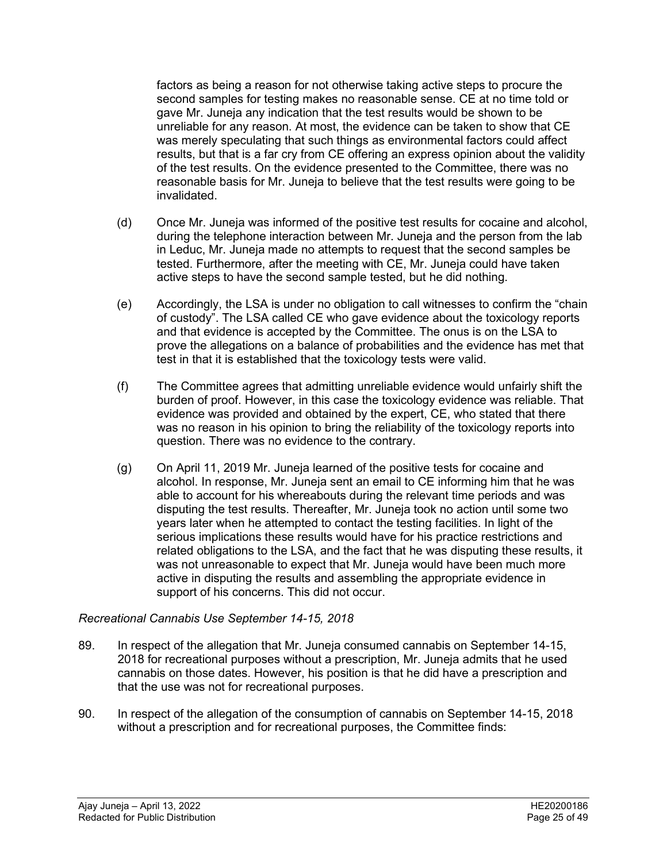factors as being a reason for not otherwise taking active steps to procure the second samples for testing makes no reasonable sense. CE at no time told or gave Mr. Juneja any indication that the test results would be shown to be unreliable for any reason. At most, the evidence can be taken to show that CE was merely speculating that such things as environmental factors could affect results, but that is a far cry from CE offering an express opinion about the validity of the test results. On the evidence presented to the Committee, there was no reasonable basis for Mr. Juneja to believe that the test results were going to be invalidated.

- (d) Once Mr. Juneja was informed of the positive test results for cocaine and alcohol, during the telephone interaction between Mr. Juneja and the person from the lab in Leduc, Mr. Juneja made no attempts to request that the second samples be tested. Furthermore, after the meeting with CE, Mr. Juneja could have taken active steps to have the second sample tested, but he did nothing.
- (e) Accordingly, the LSA is under no obligation to call witnesses to confirm the "chain of custody". The LSA called CE who gave evidence about the toxicology reports and that evidence is accepted by the Committee. The onus is on the LSA to prove the allegations on a balance of probabilities and the evidence has met that test in that it is established that the toxicology tests were valid.
- (f) The Committee agrees that admitting unreliable evidence would unfairly shift the burden of proof. However, in this case the toxicology evidence was reliable. That evidence was provided and obtained by the expert, CE, who stated that there was no reason in his opinion to bring the reliability of the toxicology reports into question. There was no evidence to the contrary.
- (g) On April 11, 2019 Mr. Juneja learned of the positive tests for cocaine and alcohol. In response, Mr. Juneja sent an email to CE informing him that he was able to account for his whereabouts during the relevant time periods and was disputing the test results. Thereafter, Mr. Juneja took no action until some two years later when he attempted to contact the testing facilities. In light of the serious implications these results would have for his practice restrictions and related obligations to the LSA, and the fact that he was disputing these results, it was not unreasonable to expect that Mr. Juneja would have been much more active in disputing the results and assembling the appropriate evidence in support of his concerns. This did not occur.

# *Recreational Cannabis Use September 14-15, 2018*

- 89. In respect of the allegation that Mr. Juneja consumed cannabis on September 14-15, 2018 for recreational purposes without a prescription, Mr. Juneja admits that he used cannabis on those dates. However, his position is that he did have a prescription and that the use was not for recreational purposes.
- 90. In respect of the allegation of the consumption of cannabis on September 14-15, 2018 without a prescription and for recreational purposes, the Committee finds: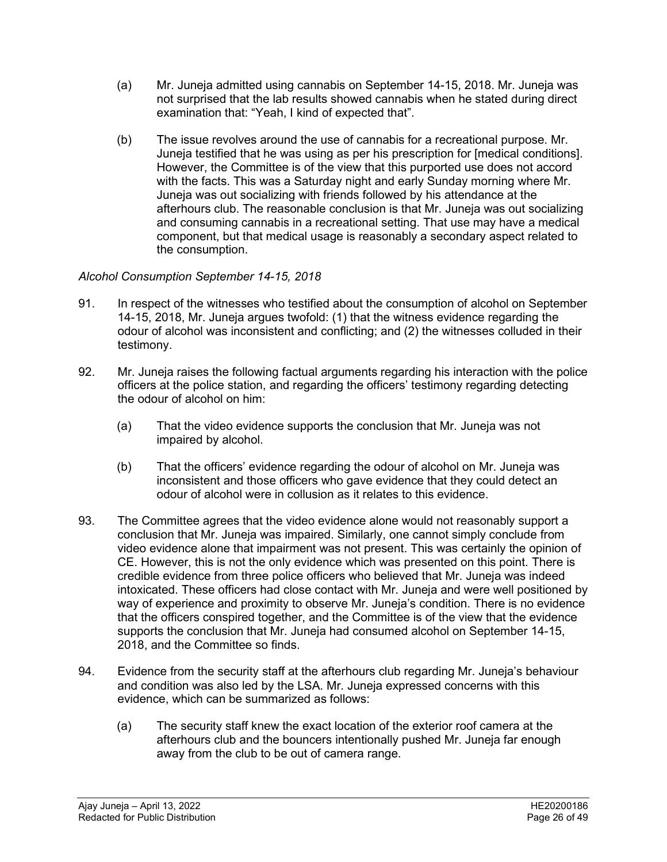- (a) Mr. Juneja admitted using cannabis on September 14-15, 2018. Mr. Juneja was not surprised that the lab results showed cannabis when he stated during direct examination that: "Yeah, I kind of expected that".
- (b) The issue revolves around the use of cannabis for a recreational purpose. Mr. Juneja testified that he was using as per his prescription for [medical conditions]. However, the Committee is of the view that this purported use does not accord with the facts. This was a Saturday night and early Sunday morning where Mr. Juneja was out socializing with friends followed by his attendance at the afterhours club. The reasonable conclusion is that Mr. Juneja was out socializing and consuming cannabis in a recreational setting. That use may have a medical component, but that medical usage is reasonably a secondary aspect related to the consumption.

# *Alcohol Consumption September 14-15, 2018*

- 91. In respect of the witnesses who testified about the consumption of alcohol on September 14-15, 2018, Mr. Juneja argues twofold: (1) that the witness evidence regarding the odour of alcohol was inconsistent and conflicting; and (2) the witnesses colluded in their testimony.
- 92. Mr. Juneja raises the following factual arguments regarding his interaction with the police officers at the police station, and regarding the officers' testimony regarding detecting the odour of alcohol on him:
	- (a) That the video evidence supports the conclusion that Mr. Juneja was not impaired by alcohol.
	- (b) That the officers' evidence regarding the odour of alcohol on Mr. Juneja was inconsistent and those officers who gave evidence that they could detect an odour of alcohol were in collusion as it relates to this evidence.
- 93. The Committee agrees that the video evidence alone would not reasonably support a conclusion that Mr. Juneja was impaired. Similarly, one cannot simply conclude from video evidence alone that impairment was not present. This was certainly the opinion of CE. However, this is not the only evidence which was presented on this point. There is credible evidence from three police officers who believed that Mr. Juneja was indeed intoxicated. These officers had close contact with Mr. Juneja and were well positioned by way of experience and proximity to observe Mr. Juneja's condition. There is no evidence that the officers conspired together, and the Committee is of the view that the evidence supports the conclusion that Mr. Juneja had consumed alcohol on September 14-15, 2018, and the Committee so finds.
- 94. Evidence from the security staff at the afterhours club regarding Mr. Juneja's behaviour and condition was also led by the LSA. Mr. Juneja expressed concerns with this evidence, which can be summarized as follows:
	- (a) The security staff knew the exact location of the exterior roof camera at the afterhours club and the bouncers intentionally pushed Mr. Juneja far enough away from the club to be out of camera range.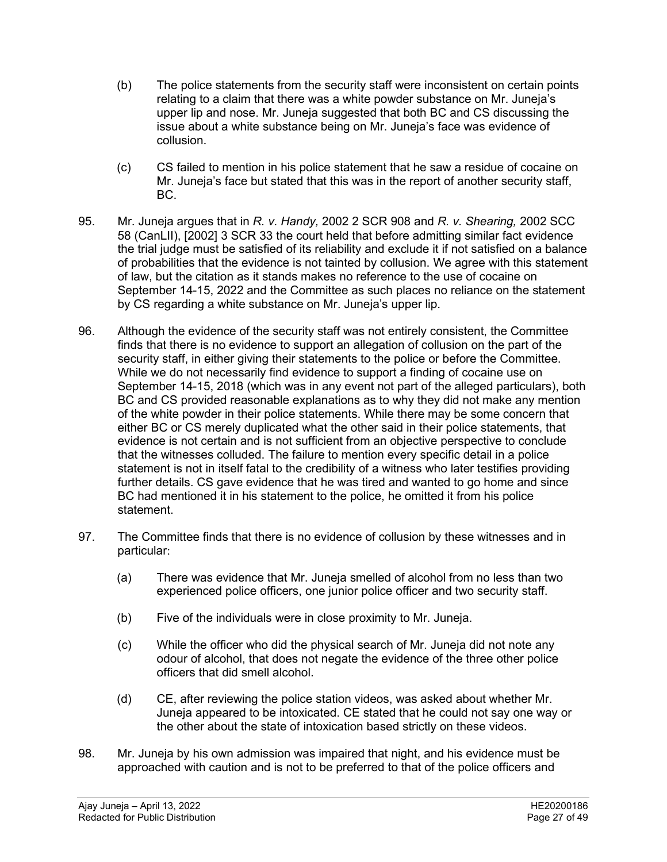- (b) The police statements from the security staff were inconsistent on certain points relating to a claim that there was a white powder substance on Mr. Juneja's upper lip and nose. Mr. Juneja suggested that both BC and CS discussing the issue about a white substance being on Mr. Juneja's face was evidence of collusion.
- (c) CS failed to mention in his police statement that he saw a residue of cocaine on Mr. Juneja's face but stated that this was in the report of another security staff, BC.
- 95. Mr. Juneja argues that in *R. v. Handy,* 2002 2 SCR 908 and *R. v. Shearing,* 2002 SCC 58 (CanLII), [2002] 3 SCR 33 the court held that before admitting similar fact evidence the trial judge must be satisfied of its reliability and exclude it if not satisfied on a balance of probabilities that the evidence is not tainted by collusion. We agree with this statement of law, but the citation as it stands makes no reference to the use of cocaine on September 14-15, 2022 and the Committee as such places no reliance on the statement by CS regarding a white substance on Mr. Juneja's upper lip.
- 96. Although the evidence of the security staff was not entirely consistent, the Committee finds that there is no evidence to support an allegation of collusion on the part of the security staff, in either giving their statements to the police or before the Committee. While we do not necessarily find evidence to support a finding of cocaine use on September 14-15, 2018 (which was in any event not part of the alleged particulars), both BC and CS provided reasonable explanations as to why they did not make any mention of the white powder in their police statements. While there may be some concern that either BC or CS merely duplicated what the other said in their police statements, that evidence is not certain and is not sufficient from an objective perspective to conclude that the witnesses colluded. The failure to mention every specific detail in a police statement is not in itself fatal to the credibility of a witness who later testifies providing further details. CS gave evidence that he was tired and wanted to go home and since BC had mentioned it in his statement to the police, he omitted it from his police statement.
- 97. The Committee finds that there is no evidence of collusion by these witnesses and in particular:
	- (a) There was evidence that Mr. Juneja smelled of alcohol from no less than two experienced police officers, one junior police officer and two security staff.
	- (b) Five of the individuals were in close proximity to Mr. Juneja.
	- (c) While the officer who did the physical search of Mr. Juneja did not note any odour of alcohol, that does not negate the evidence of the three other police officers that did smell alcohol.
	- (d) CE, after reviewing the police station videos, was asked about whether Mr. Juneja appeared to be intoxicated. CE stated that he could not say one way or the other about the state of intoxication based strictly on these videos.
- 98. Mr. Juneja by his own admission was impaired that night, and his evidence must be approached with caution and is not to be preferred to that of the police officers and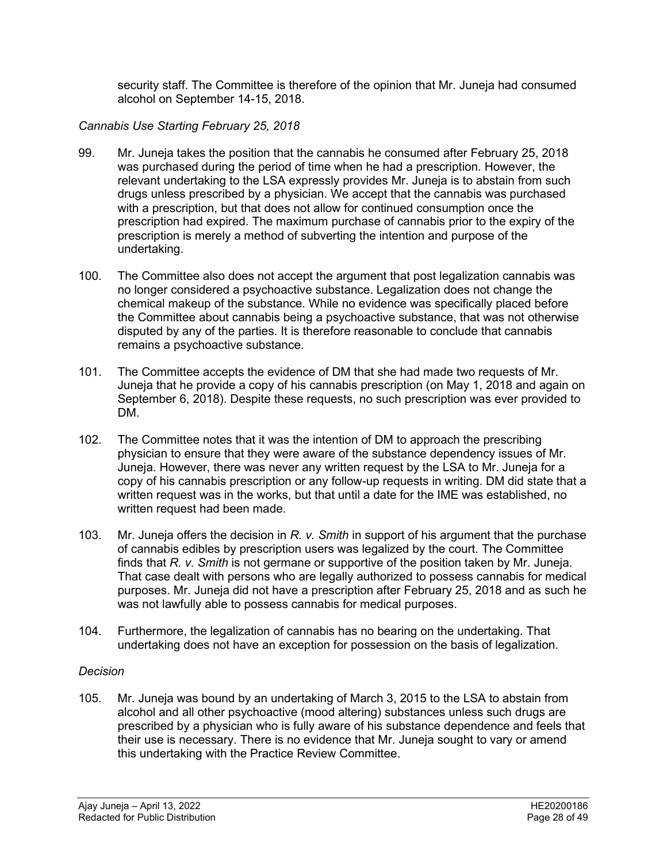security staff. The Committee is therefore of the opinion that Mr. Juneja had consumed alcohol on September 14-15, 2018.

# *Cannabis Use Starting February 25, 2018*

- 99. Mr. Juneja takes the position that the cannabis he consumed after February 25, 2018 was purchased during the period of time when he had a prescription. However, the relevant undertaking to the LSA expressly provides Mr. Juneja is to abstain from such drugs unless prescribed by a physician. We accept that the cannabis was purchased with a prescription, but that does not allow for continued consumption once the prescription had expired. The maximum purchase of cannabis prior to the expiry of the prescription is merely a method of subverting the intention and purpose of the undertaking.
- 100. The Committee also does not accept the argument that post legalization cannabis was no longer considered a psychoactive substance. Legalization does not change the chemical makeup of the substance. While no evidence was specifically placed before the Committee about cannabis being a psychoactive substance, that was not otherwise disputed by any of the parties. It is therefore reasonable to conclude that cannabis remains a psychoactive substance.
- 101. The Committee accepts the evidence of DM that she had made two requests of Mr. Juneja that he provide a copy of his cannabis prescription (on May 1, 2018 and again on September 6, 2018). Despite these requests, no such prescription was ever provided to DM.
- 102. The Committee notes that it was the intention of DM to approach the prescribing physician to ensure that they were aware of the substance dependency issues of Mr. Juneja. However, there was never any written request by the LSA to Mr. Juneja for a copy of his cannabis prescription or any follow-up requests in writing. DM did state that a written request was in the works, but that until a date for the IME was established, no written request had been made.
- 103. Mr. Juneja offers the decision in *R. v. Smith* in support of his argument that the purchase of cannabis edibles by prescription users was legalized by the court. The Committee finds that *R. v. Smith* is not germane or supportive of the position taken by Mr. Juneja. That case dealt with persons who are legally authorized to possess cannabis for medical purposes. Mr. Juneja did not have a prescription after February 25, 2018 and as such he was not lawfully able to possess cannabis for medical purposes.
- 104. Furthermore, the legalization of cannabis has no bearing on the undertaking. That undertaking does not have an exception for possession on the basis of legalization.

# *Decision*

105. Mr. Juneja was bound by an undertaking of March 3, 2015 to the LSA to abstain from alcohol and all other psychoactive (mood altering) substances unless such drugs are prescribed by a physician who is fully aware of his substance dependence and feels that their use is necessary. There is no evidence that Mr. Juneja sought to vary or amend this undertaking with the Practice Review Committee.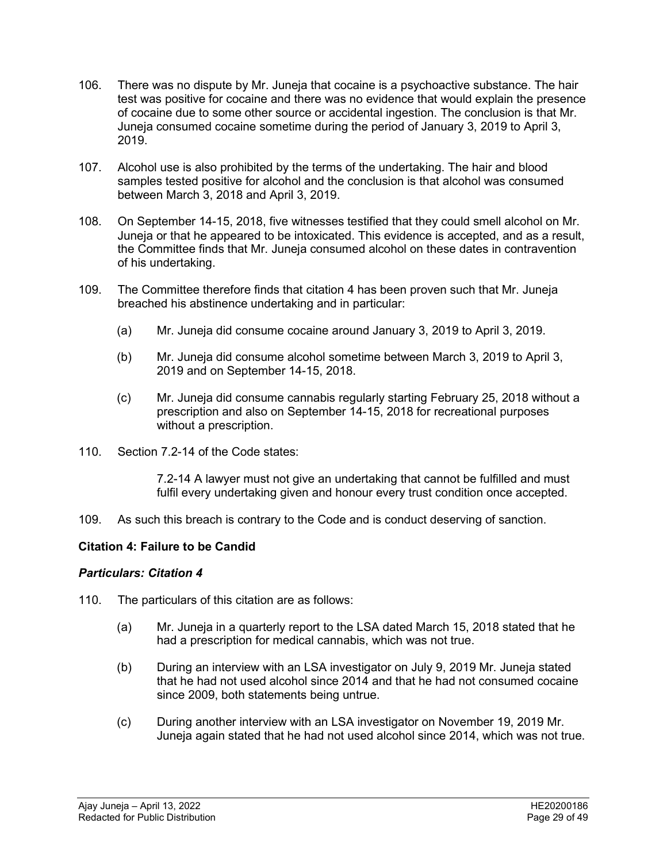- 106. There was no dispute by Mr. Juneja that cocaine is a psychoactive substance. The hair test was positive for cocaine and there was no evidence that would explain the presence of cocaine due to some other source or accidental ingestion. The conclusion is that Mr. Juneja consumed cocaine sometime during the period of January 3, 2019 to April 3, 2019.
- 107. Alcohol use is also prohibited by the terms of the undertaking. The hair and blood samples tested positive for alcohol and the conclusion is that alcohol was consumed between March 3, 2018 and April 3, 2019.
- 108. On September 14-15, 2018, five witnesses testified that they could smell alcohol on Mr. Juneja or that he appeared to be intoxicated. This evidence is accepted, and as a result, the Committee finds that Mr. Juneja consumed alcohol on these dates in contravention of his undertaking.
- 109. The Committee therefore finds that citation 4 has been proven such that Mr. Juneja breached his abstinence undertaking and in particular:
	- (a) Mr. Juneja did consume cocaine around January 3, 2019 to April 3, 2019.
	- (b) Mr. Juneja did consume alcohol sometime between March 3, 2019 to April 3, 2019 and on September 14-15, 2018.
	- (c) Mr. Juneja did consume cannabis regularly starting February 25, 2018 without a prescription and also on September 14-15, 2018 for recreational purposes without a prescription.
- 110. Section 7.2-14 of the Code states:

7.2-14 A lawyer must not give an undertaking that cannot be fulfilled and must fulfil every undertaking given and honour every trust condition once accepted.

109. As such this breach is contrary to the Code and is conduct deserving of sanction.

# **Citation 4: Failure to be Candid**

# *Particulars: Citation 4*

- 110. The particulars of this citation are as follows:
	- (a) Mr. Juneja in a quarterly report to the LSA dated March 15, 2018 stated that he had a prescription for medical cannabis, which was not true.
	- (b) During an interview with an LSA investigator on July 9, 2019 Mr. Juneja stated that he had not used alcohol since 2014 and that he had not consumed cocaine since 2009, both statements being untrue.
	- (c) During another interview with an LSA investigator on November 19, 2019 Mr. Juneja again stated that he had not used alcohol since 2014, which was not true.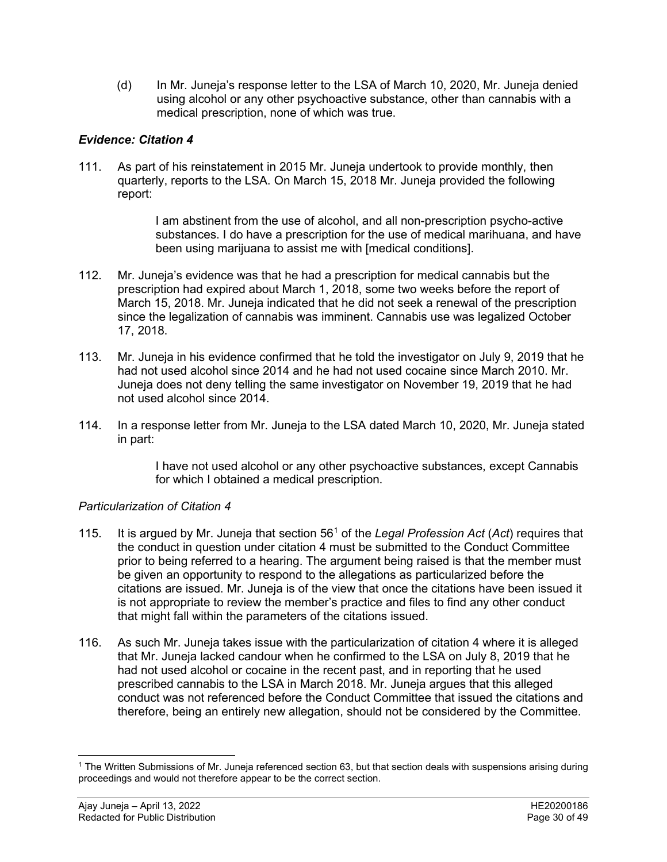(d) In Mr. Juneja's response letter to the LSA of March 10, 2020, Mr. Juneja denied using alcohol or any other psychoactive substance, other than cannabis with a medical prescription, none of which was true.

# *Evidence: Citation 4*

111. As part of his reinstatement in 2015 Mr. Juneja undertook to provide monthly, then quarterly, reports to the LSA. On March 15, 2018 Mr. Juneja provided the following report:

> I am abstinent from the use of alcohol, and all non-prescription psycho-active substances. I do have a prescription for the use of medical marihuana, and have been using marijuana to assist me with [medical conditions].

- 112. Mr. Juneja's evidence was that he had a prescription for medical cannabis but the prescription had expired about March 1, 2018, some two weeks before the report of March 15, 2018. Mr. Juneja indicated that he did not seek a renewal of the prescription since the legalization of cannabis was imminent. Cannabis use was legalized October 17, 2018.
- 113. Mr. Juneja in his evidence confirmed that he told the investigator on July 9, 2019 that he had not used alcohol since 2014 and he had not used cocaine since March 2010. Mr. Juneja does not deny telling the same investigator on November 19, 2019 that he had not used alcohol since 2014.
- 114. In a response letter from Mr. Juneja to the LSA dated March 10, 2020, Mr. Juneja stated in part:

I have not used alcohol or any other psychoactive substances, except Cannabis for which I obtained a medical prescription.

# *Particularization of Citation 4*

- 115. It is argued by Mr. Juneja that section 56[1](#page-29-0) of the *Legal Profession Act* (*Act*) requires that the conduct in question under citation 4 must be submitted to the Conduct Committee prior to being referred to a hearing. The argument being raised is that the member must be given an opportunity to respond to the allegations as particularized before the citations are issued. Mr. Juneja is of the view that once the citations have been issued it is not appropriate to review the member's practice and files to find any other conduct that might fall within the parameters of the citations issued.
- 116. As such Mr. Juneja takes issue with the particularization of citation 4 where it is alleged that Mr. Juneja lacked candour when he confirmed to the LSA on July 8, 2019 that he had not used alcohol or cocaine in the recent past, and in reporting that he used prescribed cannabis to the LSA in March 2018. Mr. Juneja argues that this alleged conduct was not referenced before the Conduct Committee that issued the citations and therefore, being an entirely new allegation, should not be considered by the Committee.

<span id="page-29-0"></span><sup>&</sup>lt;sup>1</sup> The Written Submissions of Mr. Juneja referenced section 63, but that section deals with suspensions arising during proceedings and would not therefore appear to be the correct section.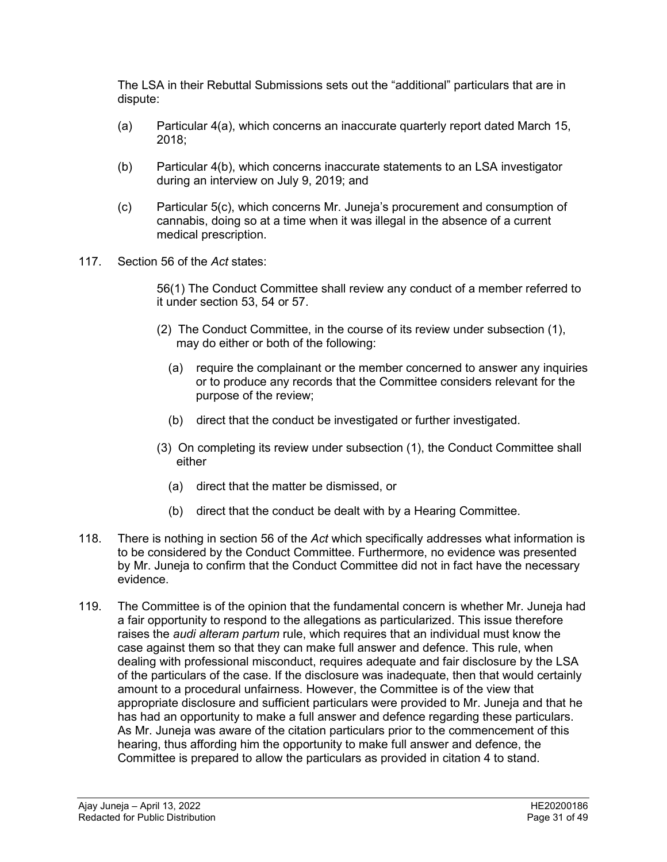The LSA in their Rebuttal Submissions sets out the "additional" particulars that are in dispute:

- (a) Particular 4(a), which concerns an inaccurate quarterly report dated March 15, 2018;
- (b) Particular 4(b), which concerns inaccurate statements to an LSA investigator during an interview on July 9, 2019; and
- (c) Particular 5(c), which concerns Mr. Juneja's procurement and consumption of cannabis, doing so at a time when it was illegal in the absence of a current medical prescription.
- 117. Section 56 of the *Act* states:

56(1) The Conduct Committee shall review any conduct of a member referred to it under section 53, 54 or 57.

- (2) The Conduct Committee, in the course of its review under subsection (1), may do either or both of the following:
	- (a) require the complainant or the member concerned to answer any inquiries or to produce any records that the Committee considers relevant for the purpose of the review;
	- (b) direct that the conduct be investigated or further investigated.
- (3) On completing its review under subsection (1), the Conduct Committee shall either
	- (a) direct that the matter be dismissed, or
	- (b) direct that the conduct be dealt with by a Hearing Committee.
- 118. There is nothing in section 56 of the *Act* which specifically addresses what information is to be considered by the Conduct Committee. Furthermore, no evidence was presented by Mr. Juneja to confirm that the Conduct Committee did not in fact have the necessary evidence.
- 119. The Committee is of the opinion that the fundamental concern is whether Mr. Juneja had a fair opportunity to respond to the allegations as particularized. This issue therefore raises the *audi alteram partum* rule, which requires that an individual must know the case against them so that they can make full answer and defence. This rule, when dealing with professional misconduct, requires adequate and fair disclosure by the LSA of the particulars of the case. If the disclosure was inadequate, then that would certainly amount to a procedural unfairness. However, the Committee is of the view that appropriate disclosure and sufficient particulars were provided to Mr. Juneja and that he has had an opportunity to make a full answer and defence regarding these particulars. As Mr. Juneja was aware of the citation particulars prior to the commencement of this hearing, thus affording him the opportunity to make full answer and defence, the Committee is prepared to allow the particulars as provided in citation 4 to stand.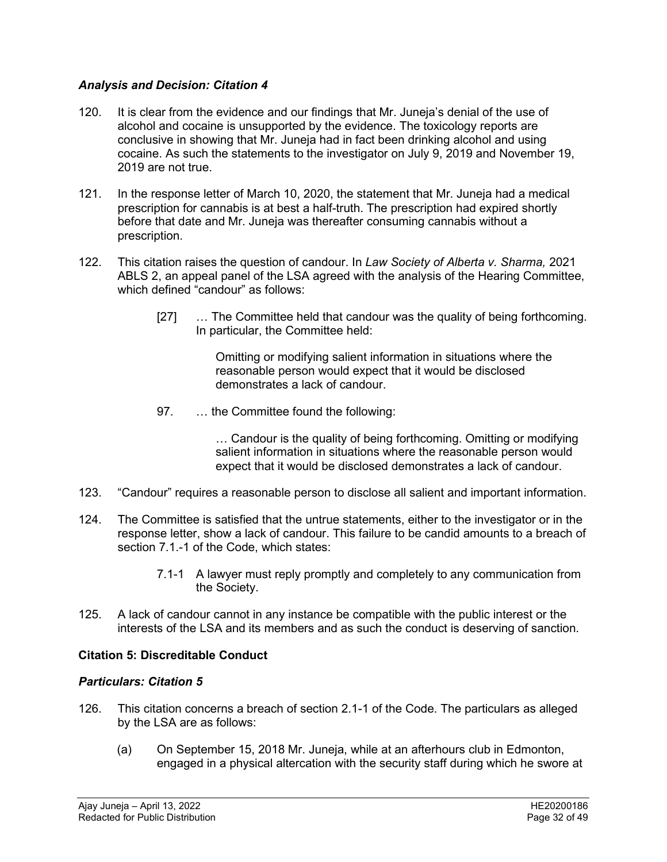### *Analysis and Decision: Citation 4*

- 120. It is clear from the evidence and our findings that Mr. Juneja's denial of the use of alcohol and cocaine is unsupported by the evidence. The toxicology reports are conclusive in showing that Mr. Juneja had in fact been drinking alcohol and using cocaine. As such the statements to the investigator on July 9, 2019 and November 19, 2019 are not true.
- 121. In the response letter of March 10, 2020, the statement that Mr. Juneja had a medical prescription for cannabis is at best a half-truth. The prescription had expired shortly before that date and Mr. Juneja was thereafter consuming cannabis without a prescription.
- 122. This citation raises the question of candour. In *Law Society of Alberta v. Sharma,* 2021 ABLS 2, an appeal panel of the LSA agreed with the analysis of the Hearing Committee, which defined "candour" as follows:
	- [27] ... The Committee held that candour was the quality of being forthcoming. In particular, the Committee held:

Omitting or modifying salient information in situations where the reasonable person would expect that it would be disclosed demonstrates a lack of candour.

97. … the Committee found the following:

… Candour is the quality of being forthcoming. Omitting or modifying salient information in situations where the reasonable person would expect that it would be disclosed demonstrates a lack of candour.

- 123. "Candour" requires a reasonable person to disclose all salient and important information.
- 124. The Committee is satisfied that the untrue statements, either to the investigator or in the response letter, show a lack of candour. This failure to be candid amounts to a breach of section 7.1 -1 of the Code, which states:
	- 7.1-1 A lawyer must reply promptly and completely to any communication from the Society.
- 125. A lack of candour cannot in any instance be compatible with the public interest or the interests of the LSA and its members and as such the conduct is deserving of sanction.

# **Citation 5: Discreditable Conduct**

#### *Particulars: Citation 5*

- 126. This citation concerns a breach of section 2.1-1 of the Code. The particulars as alleged by the LSA are as follows:
	- (a) On September 15, 2018 Mr. Juneja, while at an afterhours club in Edmonton, engaged in a physical altercation with the security staff during which he swore at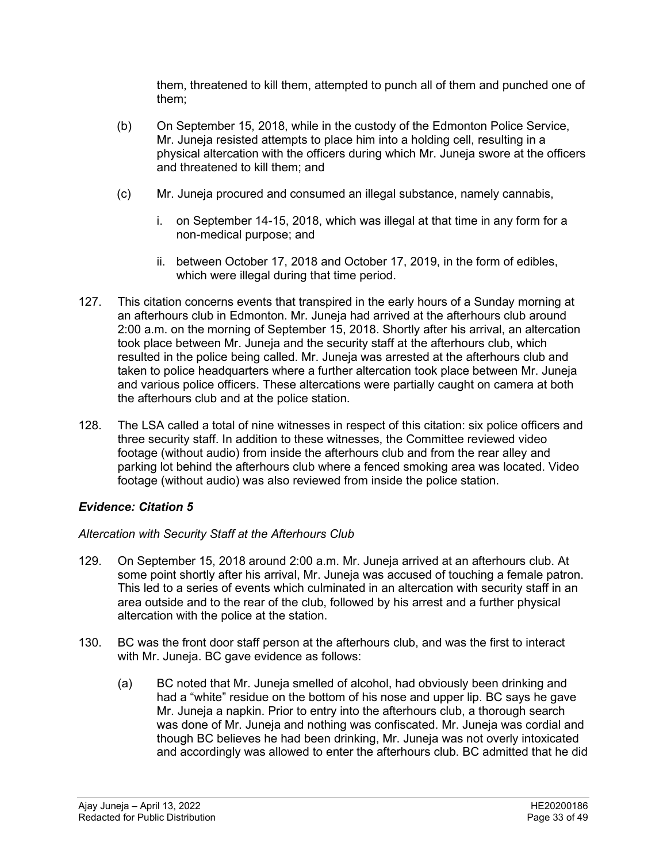them, threatened to kill them, attempted to punch all of them and punched one of them;

- (b) On September 15, 2018, while in the custody of the Edmonton Police Service, Mr. Juneja resisted attempts to place him into a holding cell, resulting in a physical altercation with the officers during which Mr. Juneja swore at the officers and threatened to kill them; and
- (c) Mr. Juneja procured and consumed an illegal substance, namely cannabis,
	- i. on September 14-15, 2018, which was illegal at that time in any form for a non-medical purpose; and
	- ii. between October 17, 2018 and October 17, 2019, in the form of edibles, which were illegal during that time period.
- 127. This citation concerns events that transpired in the early hours of a Sunday morning at an afterhours club in Edmonton. Mr. Juneja had arrived at the afterhours club around 2:00 a.m. on the morning of September 15, 2018. Shortly after his arrival, an altercation took place between Mr. Juneja and the security staff at the afterhours club, which resulted in the police being called. Mr. Juneja was arrested at the afterhours club and taken to police headquarters where a further altercation took place between Mr. Juneja and various police officers. These altercations were partially caught on camera at both the afterhours club and at the police station.
- 128. The LSA called a total of nine witnesses in respect of this citation: six police officers and three security staff. In addition to these witnesses, the Committee reviewed video footage (without audio) from inside the afterhours club and from the rear alley and parking lot behind the afterhours club where a fenced smoking area was located. Video footage (without audio) was also reviewed from inside the police station.

# *Evidence: Citation 5*

# *Altercation with Security Staff at the Afterhours Club*

- 129. On September 15, 2018 around 2:00 a.m. Mr. Juneja arrived at an afterhours club. At some point shortly after his arrival, Mr. Juneja was accused of touching a female patron. This led to a series of events which culminated in an altercation with security staff in an area outside and to the rear of the club, followed by his arrest and a further physical altercation with the police at the station.
- 130. BC was the front door staff person at the afterhours club, and was the first to interact with Mr. Juneja. BC gave evidence as follows:
	- (a) BC noted that Mr. Juneja smelled of alcohol, had obviously been drinking and had a "white" residue on the bottom of his nose and upper lip. BC says he gave Mr. Juneja a napkin. Prior to entry into the afterhours club, a thorough search was done of Mr. Juneja and nothing was confiscated. Mr. Juneja was cordial and though BC believes he had been drinking, Mr. Juneja was not overly intoxicated and accordingly was allowed to enter the afterhours club. BC admitted that he did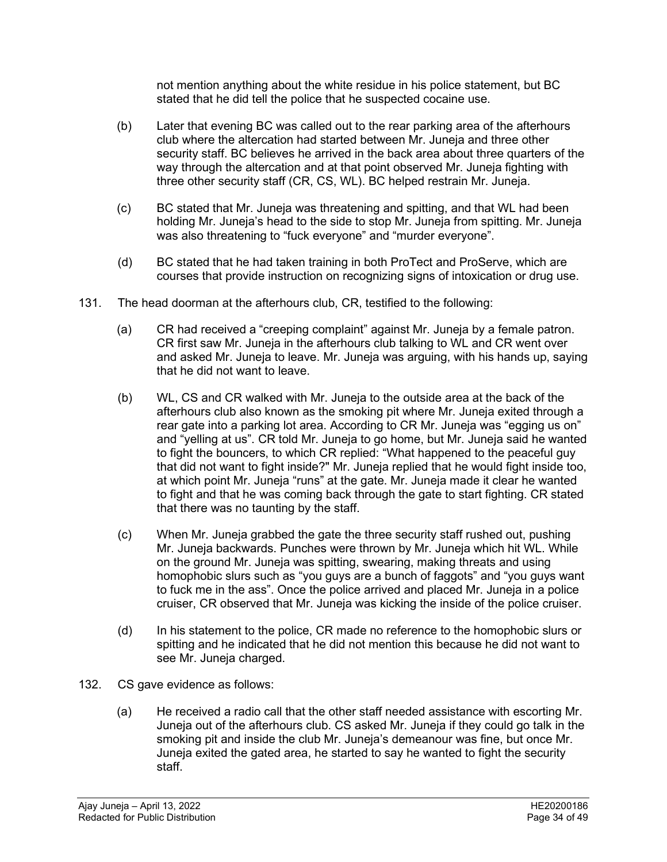not mention anything about the white residue in his police statement, but BC stated that he did tell the police that he suspected cocaine use.

- (b) Later that evening BC was called out to the rear parking area of the afterhours club where the altercation had started between Mr. Juneja and three other security staff. BC believes he arrived in the back area about three quarters of the way through the altercation and at that point observed Mr. Juneja fighting with three other security staff (CR, CS, WL). BC helped restrain Mr. Juneja.
- (c) BC stated that Mr. Juneja was threatening and spitting, and that WL had been holding Mr. Juneja's head to the side to stop Mr. Juneja from spitting. Mr. Juneja was also threatening to "fuck everyone" and "murder everyone".
- (d) BC stated that he had taken training in both ProTect and ProServe, which are courses that provide instruction on recognizing signs of intoxication or drug use.
- 131. The head doorman at the afterhours club, CR, testified to the following:
	- (a) CR had received a "creeping complaint" against Mr. Juneja by a female patron. CR first saw Mr. Juneja in the afterhours club talking to WL and CR went over and asked Mr. Juneja to leave. Mr. Juneja was arguing, with his hands up, saying that he did not want to leave.
	- (b) WL, CS and CR walked with Mr. Juneja to the outside area at the back of the afterhours club also known as the smoking pit where Mr. Juneja exited through a rear gate into a parking lot area. According to CR Mr. Juneja was "egging us on" and "yelling at us". CR told Mr. Juneja to go home, but Mr. Juneja said he wanted to fight the bouncers, to which CR replied: "What happened to the peaceful guy that did not want to fight inside?" Mr. Juneja replied that he would fight inside too, at which point Mr. Juneja "runs" at the gate. Mr. Juneja made it clear he wanted to fight and that he was coming back through the gate to start fighting. CR stated that there was no taunting by the staff.
	- (c) When Mr. Juneja grabbed the gate the three security staff rushed out, pushing Mr. Juneja backwards. Punches were thrown by Mr. Juneja which hit WL. While on the ground Mr. Juneja was spitting, swearing, making threats and using homophobic slurs such as "you guys are a bunch of faggots" and "you guys want to fuck me in the ass". Once the police arrived and placed Mr. Juneja in a police cruiser, CR observed that Mr. Juneja was kicking the inside of the police cruiser.
	- (d) In his statement to the police, CR made no reference to the homophobic slurs or spitting and he indicated that he did not mention this because he did not want to see Mr. Juneja charged.
- 132. CS gave evidence as follows:
	- (a) He received a radio call that the other staff needed assistance with escorting Mr. Juneja out of the afterhours club. CS asked Mr. Juneja if they could go talk in the smoking pit and inside the club Mr. Juneja's demeanour was fine, but once Mr. Juneja exited the gated area, he started to say he wanted to fight the security staff.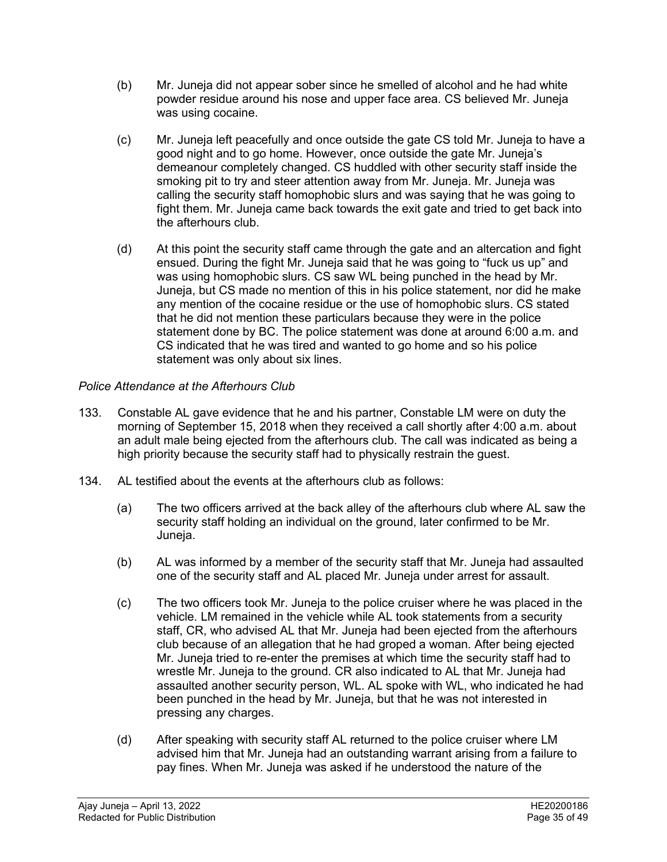- (b) Mr. Juneja did not appear sober since he smelled of alcohol and he had white powder residue around his nose and upper face area. CS believed Mr. Juneja was using cocaine.
- (c) Mr. Juneja left peacefully and once outside the gate CS told Mr. Juneja to have a good night and to go home. However, once outside the gate Mr. Juneja's demeanour completely changed. CS huddled with other security staff inside the smoking pit to try and steer attention away from Mr. Juneja. Mr. Juneja was calling the security staff homophobic slurs and was saying that he was going to fight them. Mr. Juneja came back towards the exit gate and tried to get back into the afterhours club.
- (d) At this point the security staff came through the gate and an altercation and fight ensued. During the fight Mr. Juneja said that he was going to "fuck us up" and was using homophobic slurs. CS saw WL being punched in the head by Mr. Juneja, but CS made no mention of this in his police statement, nor did he make any mention of the cocaine residue or the use of homophobic slurs. CS stated that he did not mention these particulars because they were in the police statement done by BC. The police statement was done at around 6:00 a.m. and CS indicated that he was tired and wanted to go home and so his police statement was only about six lines.

# *Police Attendance at the Afterhours Club*

- 133. Constable AL gave evidence that he and his partner, Constable LM were on duty the morning of September 15, 2018 when they received a call shortly after 4:00 a.m. about an adult male being ejected from the afterhours club. The call was indicated as being a high priority because the security staff had to physically restrain the guest.
- 134. AL testified about the events at the afterhours club as follows:
	- (a) The two officers arrived at the back alley of the afterhours club where AL saw the security staff holding an individual on the ground, later confirmed to be Mr. Juneja.
	- (b) AL was informed by a member of the security staff that Mr. Juneja had assaulted one of the security staff and AL placed Mr. Juneja under arrest for assault.
	- (c) The two officers took Mr. Juneja to the police cruiser where he was placed in the vehicle. LM remained in the vehicle while AL took statements from a security staff, CR, who advised AL that Mr. Juneja had been ejected from the afterhours club because of an allegation that he had groped a woman. After being ejected Mr. Juneja tried to re-enter the premises at which time the security staff had to wrestle Mr. Juneja to the ground. CR also indicated to AL that Mr. Juneja had assaulted another security person, WL. AL spoke with WL, who indicated he had been punched in the head by Mr. Juneja, but that he was not interested in pressing any charges.
	- (d) After speaking with security staff AL returned to the police cruiser where LM advised him that Mr. Juneja had an outstanding warrant arising from a failure to pay fines. When Mr. Juneja was asked if he understood the nature of the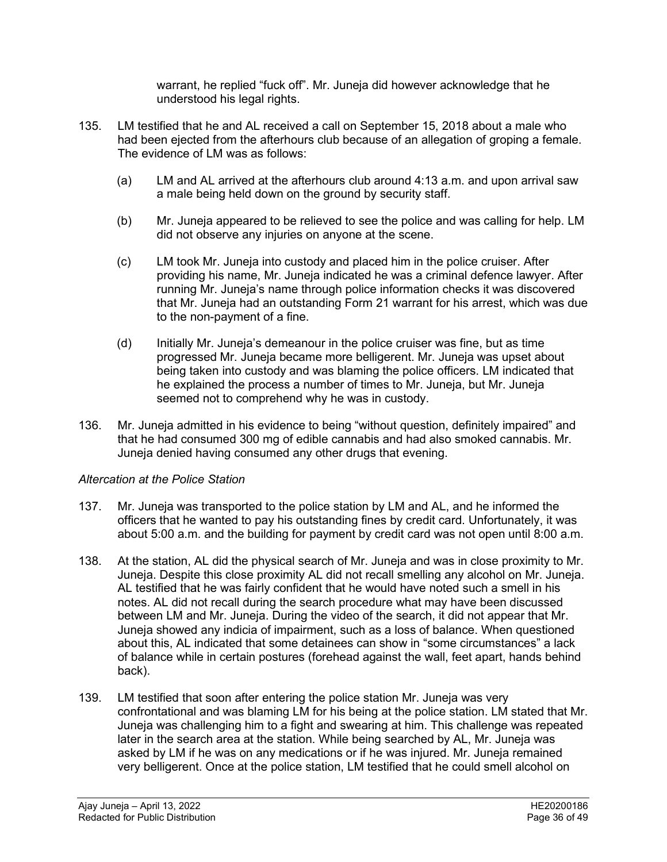warrant, he replied "fuck off". Mr. Juneja did however acknowledge that he understood his legal rights.

- 135. LM testified that he and AL received a call on September 15, 2018 about a male who had been ejected from the afterhours club because of an allegation of groping a female. The evidence of LM was as follows:
	- (a) LM and AL arrived at the afterhours club around 4:13 a.m. and upon arrival saw a male being held down on the ground by security staff.
	- (b) Mr. Juneja appeared to be relieved to see the police and was calling for help. LM did not observe any injuries on anyone at the scene.
	- (c) LM took Mr. Juneja into custody and placed him in the police cruiser. After providing his name, Mr. Juneja indicated he was a criminal defence lawyer. After running Mr. Juneja's name through police information checks it was discovered that Mr. Juneja had an outstanding Form 21 warrant for his arrest, which was due to the non-payment of a fine.
	- (d) Initially Mr. Juneja's demeanour in the police cruiser was fine, but as time progressed Mr. Juneja became more belligerent. Mr. Juneja was upset about being taken into custody and was blaming the police officers. LM indicated that he explained the process a number of times to Mr. Juneja, but Mr. Juneja seemed not to comprehend why he was in custody.
- 136. Mr. Juneja admitted in his evidence to being "without question, definitely impaired" and that he had consumed 300 mg of edible cannabis and had also smoked cannabis. Mr. Juneja denied having consumed any other drugs that evening.

# *Altercation at the Police Station*

- 137. Mr. Juneja was transported to the police station by LM and AL, and he informed the officers that he wanted to pay his outstanding fines by credit card. Unfortunately, it was about 5:00 a.m. and the building for payment by credit card was not open until 8:00 a.m.
- 138. At the station, AL did the physical search of Mr. Juneja and was in close proximity to Mr. Juneja. Despite this close proximity AL did not recall smelling any alcohol on Mr. Juneja. AL testified that he was fairly confident that he would have noted such a smell in his notes. AL did not recall during the search procedure what may have been discussed between LM and Mr. Juneja. During the video of the search, it did not appear that Mr. Juneja showed any indicia of impairment, such as a loss of balance. When questioned about this, AL indicated that some detainees can show in "some circumstances" a lack of balance while in certain postures (forehead against the wall, feet apart, hands behind back).
- 139. LM testified that soon after entering the police station Mr. Juneja was very confrontational and was blaming LM for his being at the police station. LM stated that Mr. Juneja was challenging him to a fight and swearing at him. This challenge was repeated later in the search area at the station. While being searched by AL, Mr. Juneja was asked by LM if he was on any medications or if he was injured. Mr. Juneja remained very belligerent. Once at the police station, LM testified that he could smell alcohol on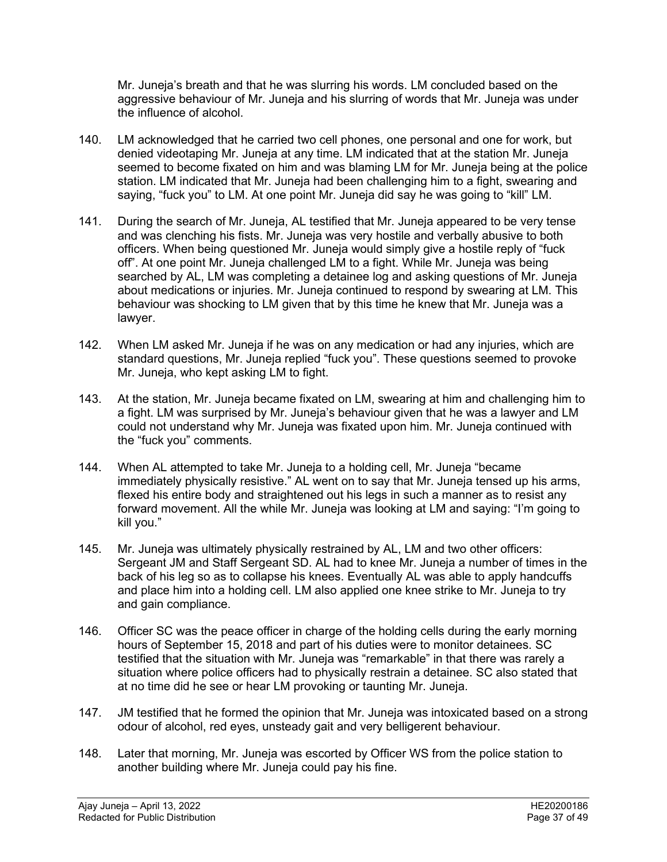Mr. Juneja's breath and that he was slurring his words. LM concluded based on the aggressive behaviour of Mr. Juneja and his slurring of words that Mr. Juneja was under the influence of alcohol.

- 140. LM acknowledged that he carried two cell phones, one personal and one for work, but denied videotaping Mr. Juneja at any time. LM indicated that at the station Mr. Juneja seemed to become fixated on him and was blaming LM for Mr. Juneja being at the police station. LM indicated that Mr. Juneja had been challenging him to a fight, swearing and saying, "fuck you" to LM. At one point Mr. Juneja did say he was going to "kill" LM.
- 141. During the search of Mr. Juneja, AL testified that Mr. Juneja appeared to be very tense and was clenching his fists. Mr. Juneja was very hostile and verbally abusive to both officers. When being questioned Mr. Juneja would simply give a hostile reply of "fuck off". At one point Mr. Juneja challenged LM to a fight. While Mr. Juneja was being searched by AL, LM was completing a detainee log and asking questions of Mr. Juneja about medications or injuries. Mr. Juneja continued to respond by swearing at LM. This behaviour was shocking to LM given that by this time he knew that Mr. Juneja was a lawyer.
- 142. When LM asked Mr. Juneja if he was on any medication or had any injuries, which are standard questions, Mr. Juneja replied "fuck you". These questions seemed to provoke Mr. Juneja, who kept asking LM to fight.
- 143. At the station, Mr. Juneja became fixated on LM, swearing at him and challenging him to a fight. LM was surprised by Mr. Juneja's behaviour given that he was a lawyer and LM could not understand why Mr. Juneja was fixated upon him. Mr. Juneja continued with the "fuck you" comments.
- 144. When AL attempted to take Mr. Juneja to a holding cell, Mr. Juneja "became immediately physically resistive." AL went on to say that Mr. Juneja tensed up his arms, flexed his entire body and straightened out his legs in such a manner as to resist any forward movement. All the while Mr. Juneja was looking at LM and saying: "I'm going to kill you."
- 145. Mr. Juneja was ultimately physically restrained by AL, LM and two other officers: Sergeant JM and Staff Sergeant SD. AL had to knee Mr. Juneja a number of times in the back of his leg so as to collapse his knees. Eventually AL was able to apply handcuffs and place him into a holding cell. LM also applied one knee strike to Mr. Juneja to try and gain compliance.
- 146. Officer SC was the peace officer in charge of the holding cells during the early morning hours of September 15, 2018 and part of his duties were to monitor detainees. SC testified that the situation with Mr. Juneja was "remarkable" in that there was rarely a situation where police officers had to physically restrain a detainee. SC also stated that at no time did he see or hear LM provoking or taunting Mr. Juneja.
- 147. JM testified that he formed the opinion that Mr. Juneja was intoxicated based on a strong odour of alcohol, red eyes, unsteady gait and very belligerent behaviour.
- 148. Later that morning, Mr. Juneja was escorted by Officer WS from the police station to another building where Mr. Juneja could pay his fine.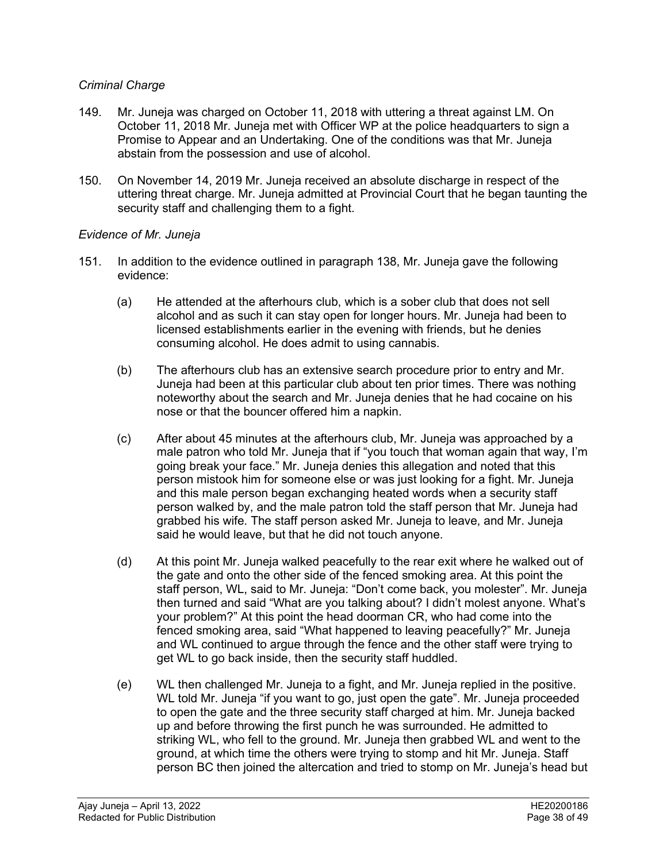### *Criminal Charge*

- 149. Mr. Juneja was charged on October 11, 2018 with uttering a threat against LM. On October 11, 2018 Mr. Juneja met with Officer WP at the police headquarters to sign a Promise to Appear and an Undertaking. One of the conditions was that Mr. Juneja abstain from the possession and use of alcohol.
- 150. On November 14, 2019 Mr. Juneja received an absolute discharge in respect of the uttering threat charge. Mr. Juneja admitted at Provincial Court that he began taunting the security staff and challenging them to a fight.

### *Evidence of Mr. Juneja*

- 151. In addition to the evidence outlined in paragraph 138, Mr. Juneja gave the following evidence:
	- (a) He attended at the afterhours club, which is a sober club that does not sell alcohol and as such it can stay open for longer hours. Mr. Juneja had been to licensed establishments earlier in the evening with friends, but he denies consuming alcohol. He does admit to using cannabis.
	- (b) The afterhours club has an extensive search procedure prior to entry and Mr. Juneja had been at this particular club about ten prior times. There was nothing noteworthy about the search and Mr. Juneja denies that he had cocaine on his nose or that the bouncer offered him a napkin.
	- (c) After about 45 minutes at the afterhours club, Mr. Juneja was approached by a male patron who told Mr. Juneja that if "you touch that woman again that way, I'm going break your face." Mr. Juneja denies this allegation and noted that this person mistook him for someone else or was just looking for a fight. Mr. Juneja and this male person began exchanging heated words when a security staff person walked by, and the male patron told the staff person that Mr. Juneja had grabbed his wife. The staff person asked Mr. Juneja to leave, and Mr. Juneja said he would leave, but that he did not touch anyone.
	- (d) At this point Mr. Juneja walked peacefully to the rear exit where he walked out of the gate and onto the other side of the fenced smoking area. At this point the staff person, WL, said to Mr. Juneja: "Don't come back, you molester". Mr. Juneja then turned and said "What are you talking about? I didn't molest anyone. What's your problem?" At this point the head doorman CR, who had come into the fenced smoking area, said "What happened to leaving peacefully?" Mr. Juneja and WL continued to argue through the fence and the other staff were trying to get WL to go back inside, then the security staff huddled.
	- (e) WL then challenged Mr. Juneja to a fight, and Mr. Juneja replied in the positive. WL told Mr. Juneja "if you want to go, just open the gate". Mr. Juneja proceeded to open the gate and the three security staff charged at him. Mr. Juneja backed up and before throwing the first punch he was surrounded. He admitted to striking WL, who fell to the ground. Mr. Juneja then grabbed WL and went to the ground, at which time the others were trying to stomp and hit Mr. Juneja. Staff person BC then joined the altercation and tried to stomp on Mr. Juneja's head but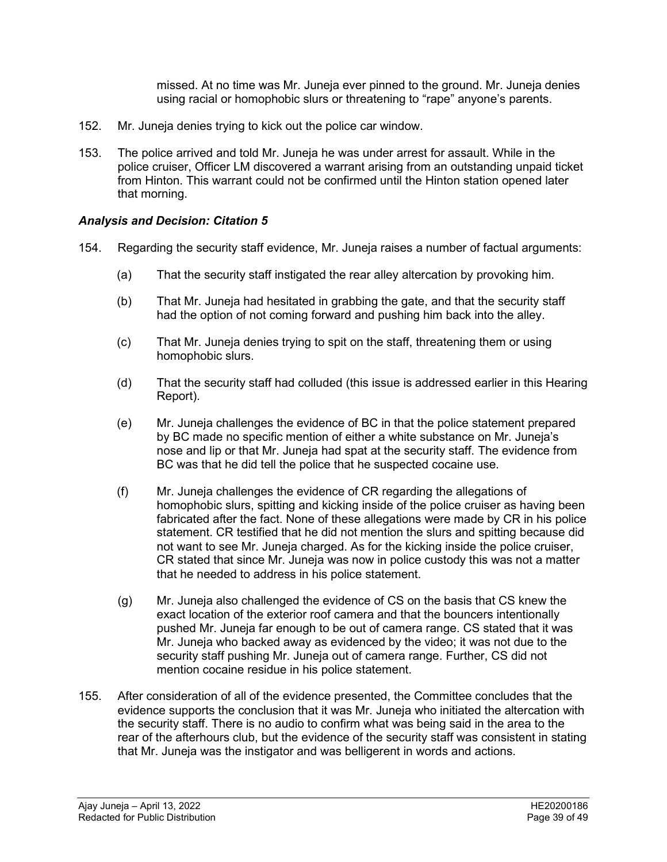missed. At no time was Mr. Juneja ever pinned to the ground. Mr. Juneja denies using racial or homophobic slurs or threatening to "rape" anyone's parents.

- 152. Mr. Juneja denies trying to kick out the police car window.
- 153. The police arrived and told Mr. Juneja he was under arrest for assault. While in the police cruiser, Officer LM discovered a warrant arising from an outstanding unpaid ticket from Hinton. This warrant could not be confirmed until the Hinton station opened later that morning.

### *Analysis and Decision: Citation 5*

- 154. Regarding the security staff evidence, Mr. Juneja raises a number of factual arguments:
	- (a) That the security staff instigated the rear alley altercation by provoking him.
	- (b) That Mr. Juneja had hesitated in grabbing the gate, and that the security staff had the option of not coming forward and pushing him back into the alley.
	- (c) That Mr. Juneja denies trying to spit on the staff, threatening them or using homophobic slurs.
	- (d) That the security staff had colluded (this issue is addressed earlier in this Hearing Report).
	- (e) Mr. Juneja challenges the evidence of BC in that the police statement prepared by BC made no specific mention of either a white substance on Mr. Juneja's nose and lip or that Mr. Juneja had spat at the security staff. The evidence from BC was that he did tell the police that he suspected cocaine use.
	- (f) Mr. Juneja challenges the evidence of CR regarding the allegations of homophobic slurs, spitting and kicking inside of the police cruiser as having been fabricated after the fact. None of these allegations were made by CR in his police statement. CR testified that he did not mention the slurs and spitting because did not want to see Mr. Juneja charged. As for the kicking inside the police cruiser, CR stated that since Mr. Juneja was now in police custody this was not a matter that he needed to address in his police statement.
	- (g) Mr. Juneja also challenged the evidence of CS on the basis that CS knew the exact location of the exterior roof camera and that the bouncers intentionally pushed Mr. Juneja far enough to be out of camera range. CS stated that it was Mr. Juneja who backed away as evidenced by the video; it was not due to the security staff pushing Mr. Juneja out of camera range. Further, CS did not mention cocaine residue in his police statement.
- 155. After consideration of all of the evidence presented, the Committee concludes that the evidence supports the conclusion that it was Mr. Juneja who initiated the altercation with the security staff. There is no audio to confirm what was being said in the area to the rear of the afterhours club, but the evidence of the security staff was consistent in stating that Mr. Juneja was the instigator and was belligerent in words and actions.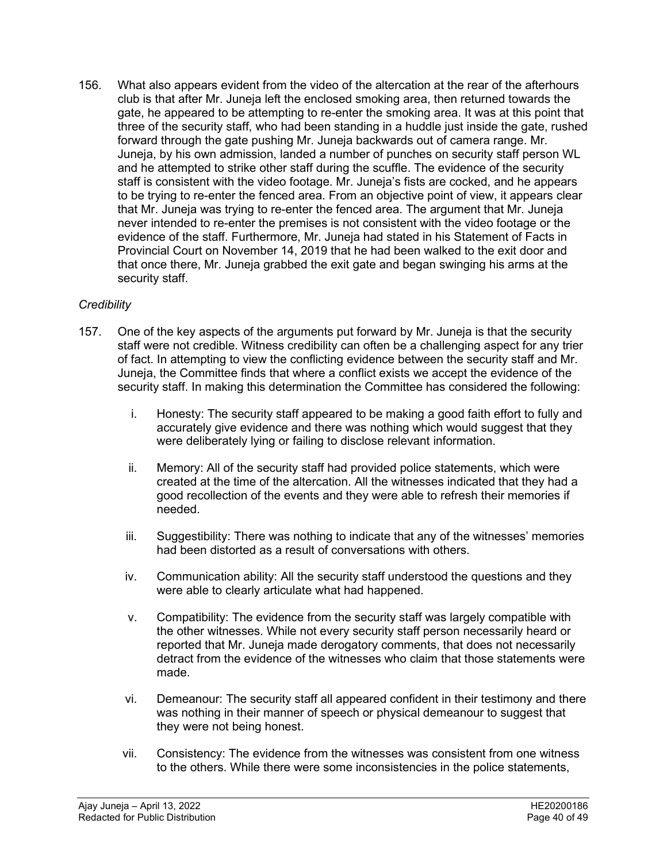156. What also appears evident from the video of the altercation at the rear of the afterhours club is that after Mr. Juneja left the enclosed smoking area, then returned towards the gate, he appeared to be attempting to re-enter the smoking area. It was at this point that three of the security staff, who had been standing in a huddle just inside the gate, rushed forward through the gate pushing Mr. Juneja backwards out of camera range. Mr. Juneja, by his own admission, landed a number of punches on security staff person WL and he attempted to strike other staff during the scuffle. The evidence of the security staff is consistent with the video footage. Mr. Juneja's fists are cocked, and he appears to be trying to re-enter the fenced area. From an objective point of view, it appears clear that Mr. Juneja was trying to re-enter the fenced area. The argument that Mr. Juneja never intended to re-enter the premises is not consistent with the video footage or the evidence of the staff. Furthermore, Mr. Juneja had stated in his Statement of Facts in Provincial Court on November 14, 2019 that he had been walked to the exit door and that once there, Mr. Juneja grabbed the exit gate and began swinging his arms at the security staff.

# *Credibility*

- 157. One of the key aspects of the arguments put forward by Mr. Juneja is that the security staff were not credible. Witness credibility can often be a challenging aspect for any trier of fact. In attempting to view the conflicting evidence between the security staff and Mr. Juneja, the Committee finds that where a conflict exists we accept the evidence of the security staff. In making this determination the Committee has considered the following:
	- i. Honesty: The security staff appeared to be making a good faith effort to fully and accurately give evidence and there was nothing which would suggest that they were deliberately lying or failing to disclose relevant information.
	- ii. Memory: All of the security staff had provided police statements, which were created at the time of the altercation. All the witnesses indicated that they had a good recollection of the events and they were able to refresh their memories if needed.
	- iii. Suggestibility: There was nothing to indicate that any of the witnesses' memories had been distorted as a result of conversations with others.
	- iv. Communication ability: All the security staff understood the questions and they were able to clearly articulate what had happened.
	- v. Compatibility: The evidence from the security staff was largely compatible with the other witnesses. While not every security staff person necessarily heard or reported that Mr. Juneja made derogatory comments, that does not necessarily detract from the evidence of the witnesses who claim that those statements were made.
	- vi. Demeanour: The security staff all appeared confident in their testimony and there was nothing in their manner of speech or physical demeanour to suggest that they were not being honest.
	- vii. Consistency: The evidence from the witnesses was consistent from one witness to the others. While there were some inconsistencies in the police statements,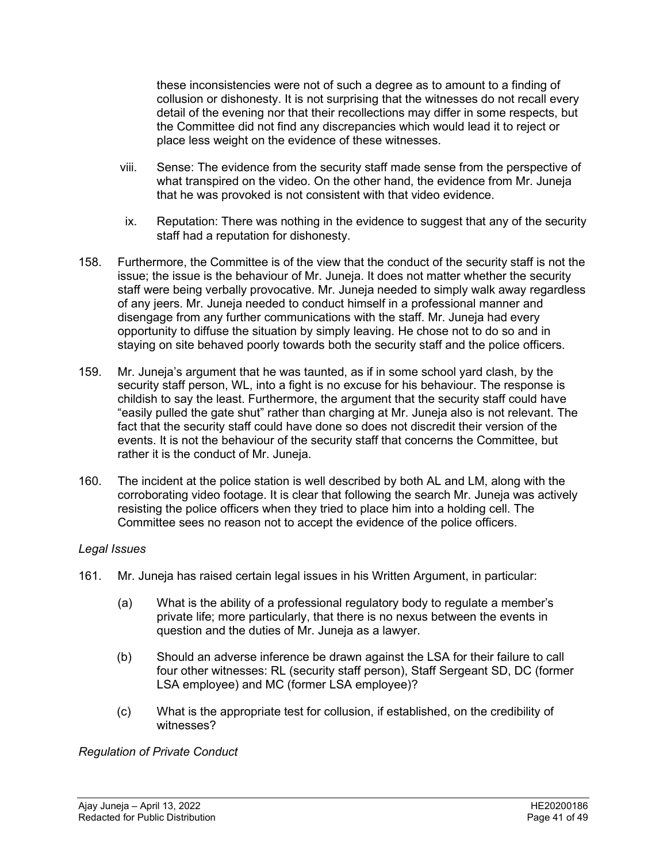these inconsistencies were not of such a degree as to amount to a finding of collusion or dishonesty. It is not surprising that the witnesses do not recall every detail of the evening nor that their recollections may differ in some respects, but the Committee did not find any discrepancies which would lead it to reject or place less weight on the evidence of these witnesses.

- viii. Sense: The evidence from the security staff made sense from the perspective of what transpired on the video. On the other hand, the evidence from Mr. Juneja that he was provoked is not consistent with that video evidence.
- ix. Reputation: There was nothing in the evidence to suggest that any of the security staff had a reputation for dishonesty.
- 158. Furthermore, the Committee is of the view that the conduct of the security staff is not the issue; the issue is the behaviour of Mr. Juneja. It does not matter whether the security staff were being verbally provocative. Mr. Juneja needed to simply walk away regardless of any jeers. Mr. Juneja needed to conduct himself in a professional manner and disengage from any further communications with the staff. Mr. Juneja had every opportunity to diffuse the situation by simply leaving. He chose not to do so and in staying on site behaved poorly towards both the security staff and the police officers.
- 159. Mr. Juneja's argument that he was taunted, as if in some school yard clash, by the security staff person, WL, into a fight is no excuse for his behaviour. The response is childish to say the least. Furthermore, the argument that the security staff could have "easily pulled the gate shut" rather than charging at Mr. Juneja also is not relevant. The fact that the security staff could have done so does not discredit their version of the events. It is not the behaviour of the security staff that concerns the Committee, but rather it is the conduct of Mr. Juneja.
- 160. The incident at the police station is well described by both AL and LM, along with the corroborating video footage. It is clear that following the search Mr. Juneja was actively resisting the police officers when they tried to place him into a holding cell. The Committee sees no reason not to accept the evidence of the police officers.

#### *Legal Issues*

- 161. Mr. Juneja has raised certain legal issues in his Written Argument, in particular:
	- (a) What is the ability of a professional regulatory body to regulate a member's private life; more particularly, that there is no nexus between the events in question and the duties of Mr. Juneja as a lawyer.
	- (b) Should an adverse inference be drawn against the LSA for their failure to call four other witnesses: RL (security staff person), Staff Sergeant SD, DC (former LSA employee) and MC (former LSA employee)?
	- (c) What is the appropriate test for collusion, if established, on the credibility of witnesses?

#### *Regulation of Private Conduct*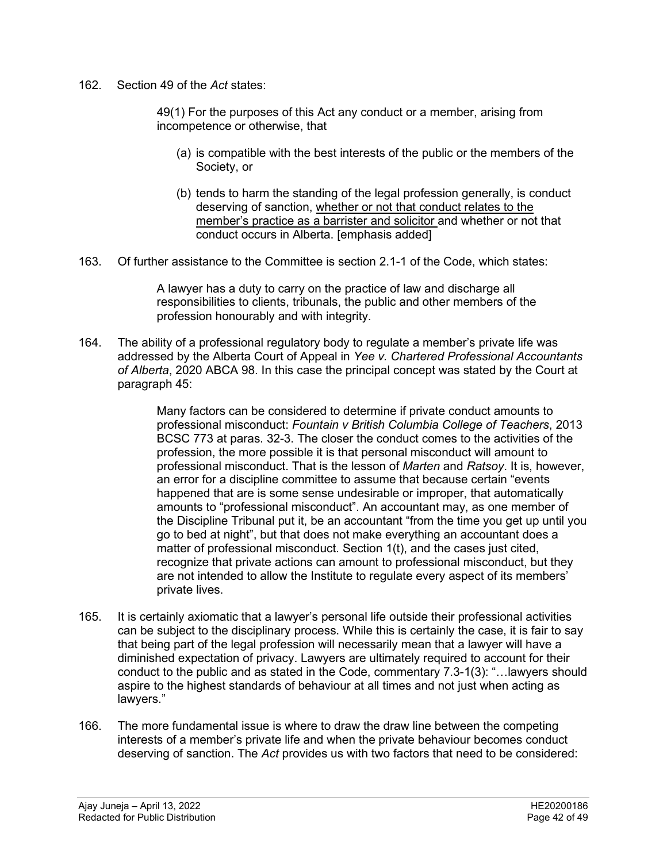162. Section 49 of the *Act* states:

49(1) For the purposes of this Act any conduct or a member, arising from incompetence or otherwise, that

- (a) is compatible with the best interests of the public or the members of the Society, or
- (b) tends to harm the standing of the legal profession generally, is conduct deserving of sanction, whether or not that conduct relates to the member's practice as a barrister and solicitor and whether or not that conduct occurs in Alberta. [emphasis added]
- 163. Of further assistance to the Committee is section 2.1-1 of the Code, which states:

A lawyer has a duty to carry on the practice of law and discharge all responsibilities to clients, tribunals, the public and other members of the profession honourably and with integrity.

164. The ability of a professional regulatory body to regulate a member's private life was addressed by the Alberta Court of Appeal in *Yee v. Chartered Professional Accountants of Alberta*, 2020 ABCA 98. In this case the principal concept was stated by the Court at paragraph 45:

> Many factors can be considered to determine if private conduct amounts to professional misconduct: *Fountain v British Columbia College of Teachers*, 2013 BCSC 773 at paras. 32-3. The closer the conduct comes to the activities of the profession, the more possible it is that personal misconduct will amount to professional misconduct. That is the lesson of *Marten* and *Ratsoy*. It is, however, an error for a discipline committee to assume that because certain "events happened that are is some sense undesirable or improper, that automatically amounts to "professional misconduct". An accountant may, as one member of the Discipline Tribunal put it, be an accountant "from the time you get up until you go to bed at night", but that does not make everything an accountant does a matter of professional misconduct. Section 1(t), and the cases just cited, recognize that private actions can amount to professional misconduct, but they are not intended to allow the Institute to regulate every aspect of its members' private lives.

- 165. It is certainly axiomatic that a lawyer's personal life outside their professional activities can be subject to the disciplinary process. While this is certainly the case, it is fair to say that being part of the legal profession will necessarily mean that a lawyer will have a diminished expectation of privacy. Lawyers are ultimately required to account for their conduct to the public and as stated in the Code, commentary 7.3-1(3): "…lawyers should aspire to the highest standards of behaviour at all times and not just when acting as lawyers."
- 166. The more fundamental issue is where to draw the draw line between the competing interests of a member's private life and when the private behaviour becomes conduct deserving of sanction. The *Act* provides us with two factors that need to be considered: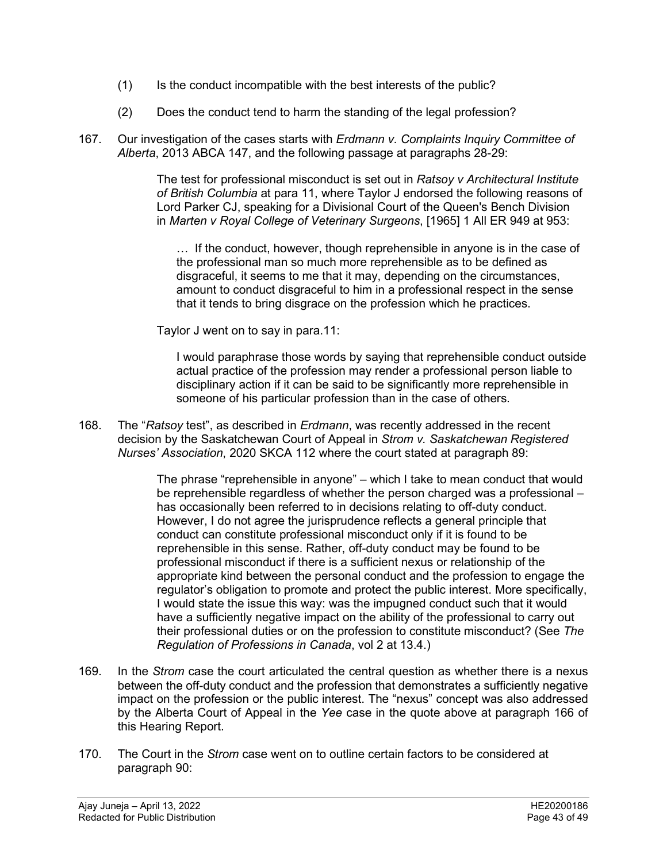- (1) Is the conduct incompatible with the best interests of the public?
- (2) Does the conduct tend to harm the standing of the legal profession?
- 167. Our investigation of the cases starts with *Erdmann v. Complaints Inquiry Committee of Alberta*, 2013 ABCA 147, and the following passage at paragraphs 28-29:

The test for professional misconduct is set out in *Ratsoy v Architectural Institute of British Columbia* at para 11, where Taylor J endorsed the following reasons of Lord Parker CJ, speaking for a Divisional Court of the Queen's Bench Division in *Marten v Royal College of Veterinary Surgeons*, [1965] 1 All ER 949 at 953:

… If the conduct, however, though reprehensible in anyone is in the case of the professional man so much more reprehensible as to be defined as disgraceful, it seems to me that it may, depending on the circumstances, amount to conduct disgraceful to him in a professional respect in the sense that it tends to bring disgrace on the profession which he practices.

Taylor J went on to say in para.11:

I would paraphrase those words by saying that reprehensible conduct outside actual practice of the profession may render a professional person liable to disciplinary action if it can be said to be significantly more reprehensible in someone of his particular profession than in the case of others.

168. The "*Ratsoy* test", as described in *Erdmann*, was recently addressed in the recent decision by the Saskatchewan Court of Appeal in *Strom v. Saskatchewan Registered Nurses' Association*, 2020 SKCA 112 where the court stated at paragraph 89:

> The phrase "reprehensible in anyone" – which I take to mean conduct that would be reprehensible regardless of whether the person charged was a professional – has occasionally been referred to in decisions relating to off-duty conduct. However, I do not agree the jurisprudence reflects a general principle that conduct can constitute professional misconduct only if it is found to be reprehensible in this sense. Rather, off-duty conduct may be found to be professional misconduct if there is a sufficient nexus or relationship of the appropriate kind between the personal conduct and the profession to engage the regulator's obligation to promote and protect the public interest. More specifically, I would state the issue this way: was the impugned conduct such that it would have a sufficiently negative impact on the ability of the professional to carry out their professional duties or on the profession to constitute misconduct? (See *The Regulation of Professions in Canada*, vol 2 at 13.4.)

- 169. In the *Strom* case the court articulated the central question as whether there is a nexus between the off-duty conduct and the profession that demonstrates a sufficiently negative impact on the profession or the public interest. The "nexus" concept was also addressed by the Alberta Court of Appeal in the *Yee* case in the quote above at paragraph 166 of this Hearing Report.
- 170. The Court in the *Strom* case went on to outline certain factors to be considered at paragraph 90: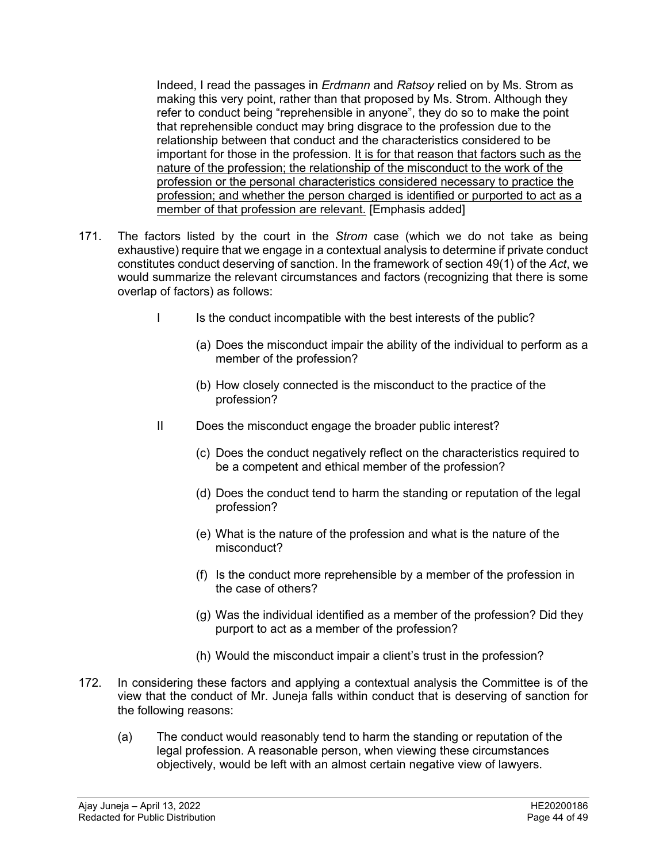Indeed, I read the passages in *Erdmann* and *Ratsoy* relied on by Ms. Strom as making this very point, rather than that proposed by Ms. Strom. Although they refer to conduct being "reprehensible in anyone", they do so to make the point that reprehensible conduct may bring disgrace to the profession due to the relationship between that conduct and the characteristics considered to be important for those in the profession. It is for that reason that factors such as the nature of the profession; the relationship of the misconduct to the work of the profession or the personal characteristics considered necessary to practice the profession; and whether the person charged is identified or purported to act as a member of that profession are relevant. [Emphasis added]

- 171. The factors listed by the court in the *Strom* case (which we do not take as being exhaustive) require that we engage in a contextual analysis to determine if private conduct constitutes conduct deserving of sanction. In the framework of section 49(1) of the *Act*, we would summarize the relevant circumstances and factors (recognizing that there is some overlap of factors) as follows:
	- I Is the conduct incompatible with the best interests of the public?
		- (a) Does the misconduct impair the ability of the individual to perform as a member of the profession?
		- (b) How closely connected is the misconduct to the practice of the profession?
	- II Does the misconduct engage the broader public interest?
		- (c) Does the conduct negatively reflect on the characteristics required to be a competent and ethical member of the profession?
		- (d) Does the conduct tend to harm the standing or reputation of the legal profession?
		- (e) What is the nature of the profession and what is the nature of the misconduct?
		- (f) Is the conduct more reprehensible by a member of the profession in the case of others?
		- (g) Was the individual identified as a member of the profession? Did they purport to act as a member of the profession?
		- (h) Would the misconduct impair a client's trust in the profession?
- 172. In considering these factors and applying a contextual analysis the Committee is of the view that the conduct of Mr. Juneja falls within conduct that is deserving of sanction for the following reasons:
	- (a) The conduct would reasonably tend to harm the standing or reputation of the legal profession. A reasonable person, when viewing these circumstances objectively, would be left with an almost certain negative view of lawyers.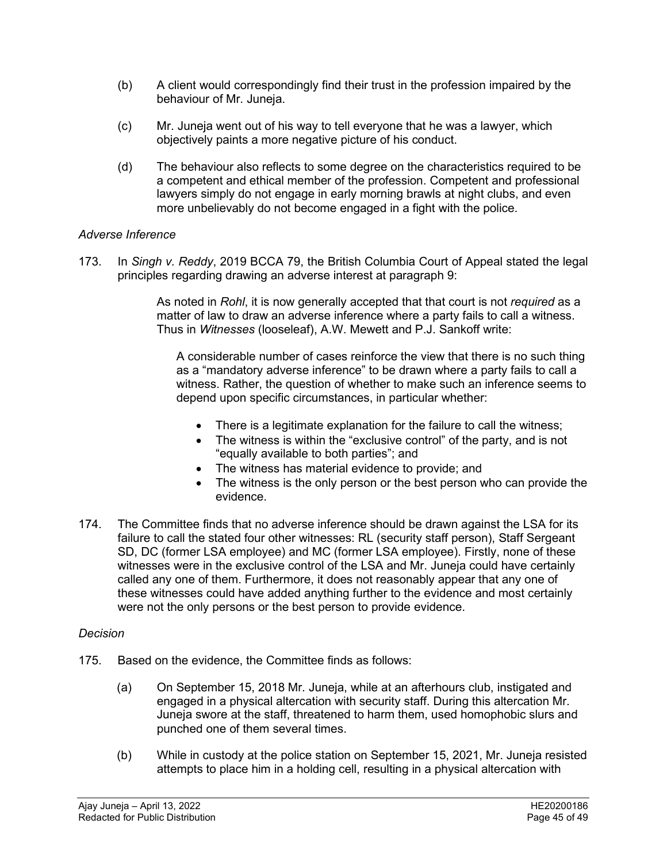- (b) A client would correspondingly find their trust in the profession impaired by the behaviour of Mr. Juneja.
- (c) Mr. Juneja went out of his way to tell everyone that he was a lawyer, which objectively paints a more negative picture of his conduct.
- (d) The behaviour also reflects to some degree on the characteristics required to be a competent and ethical member of the profession. Competent and professional lawyers simply do not engage in early morning brawls at night clubs, and even more unbelievably do not become engaged in a fight with the police.

# *Adverse Inference*

173. In *Singh v. Reddy*, 2019 BCCA 79, the British Columbia Court of Appeal stated the legal principles regarding drawing an adverse interest at paragraph 9:

> As noted in *Rohl*, it is now generally accepted that that court is not *required* as a matter of law to draw an adverse inference where a party fails to call a witness. Thus in *Witnesses* (looseleaf), A.W. Mewett and P.J. Sankoff write:

A considerable number of cases reinforce the view that there is no such thing as a "mandatory adverse inference" to be drawn where a party fails to call a witness. Rather, the question of whether to make such an inference seems to depend upon specific circumstances, in particular whether:

- There is a legitimate explanation for the failure to call the witness;
- The witness is within the "exclusive control" of the party, and is not "equally available to both parties"; and
- The witness has material evidence to provide; and
- The witness is the only person or the best person who can provide the evidence.
- 174. The Committee finds that no adverse inference should be drawn against the LSA for its failure to call the stated four other witnesses: RL (security staff person), Staff Sergeant SD, DC (former LSA employee) and MC (former LSA employee). Firstly, none of these witnesses were in the exclusive control of the LSA and Mr. Juneja could have certainly called any one of them. Furthermore, it does not reasonably appear that any one of these witnesses could have added anything further to the evidence and most certainly were not the only persons or the best person to provide evidence.

#### *Decision*

- 175. Based on the evidence, the Committee finds as follows:
	- (a) On September 15, 2018 Mr. Juneja, while at an afterhours club, instigated and engaged in a physical altercation with security staff. During this altercation Mr. Juneja swore at the staff, threatened to harm them, used homophobic slurs and punched one of them several times.
	- (b) While in custody at the police station on September 15, 2021, Mr. Juneja resisted attempts to place him in a holding cell, resulting in a physical altercation with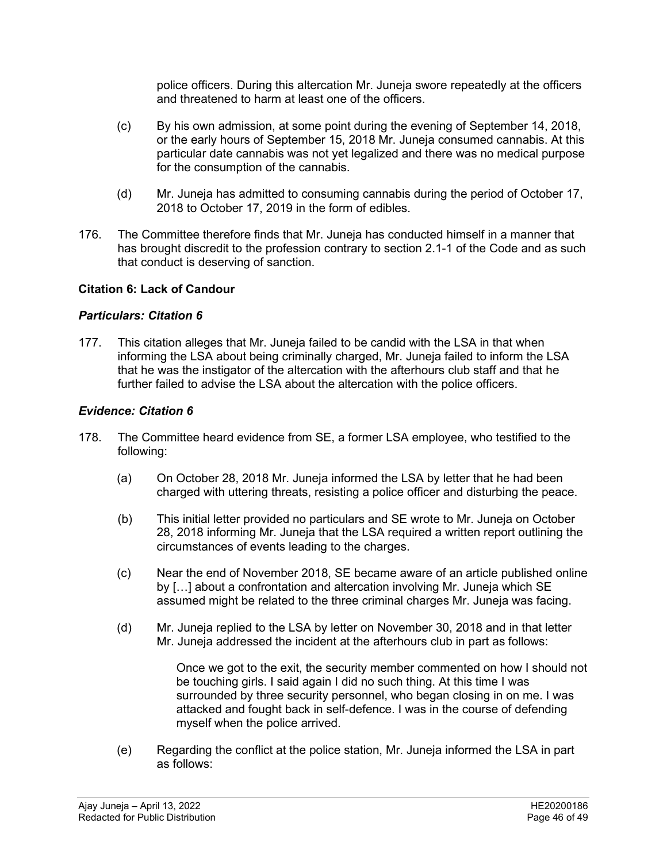police officers. During this altercation Mr. Juneja swore repeatedly at the officers and threatened to harm at least one of the officers.

- (c) By his own admission, at some point during the evening of September 14, 2018, or the early hours of September 15, 2018 Mr. Juneja consumed cannabis. At this particular date cannabis was not yet legalized and there was no medical purpose for the consumption of the cannabis.
- (d) Mr. Juneja has admitted to consuming cannabis during the period of October 17, 2018 to October 17, 2019 in the form of edibles.
- 176. The Committee therefore finds that Mr. Juneja has conducted himself in a manner that has brought discredit to the profession contrary to section 2.1-1 of the Code and as such that conduct is deserving of sanction.

# **Citation 6: Lack of Candour**

### *Particulars: Citation 6*

177. This citation alleges that Mr. Juneja failed to be candid with the LSA in that when informing the LSA about being criminally charged, Mr. Juneja failed to inform the LSA that he was the instigator of the altercation with the afterhours club staff and that he further failed to advise the LSA about the altercation with the police officers.

# *Evidence: Citation 6*

- 178. The Committee heard evidence from SE, a former LSA employee, who testified to the following:
	- (a) On October 28, 2018 Mr. Juneja informed the LSA by letter that he had been charged with uttering threats, resisting a police officer and disturbing the peace.
	- (b) This initial letter provided no particulars and SE wrote to Mr. Juneja on October 28, 2018 informing Mr. Juneja that the LSA required a written report outlining the circumstances of events leading to the charges.
	- (c) Near the end of November 2018, SE became aware of an article published online by […] about a confrontation and altercation involving Mr. Juneja which SE assumed might be related to the three criminal charges Mr. Juneja was facing.
	- (d) Mr. Juneja replied to the LSA by letter on November 30, 2018 and in that letter Mr. Juneja addressed the incident at the afterhours club in part as follows:

Once we got to the exit, the security member commented on how I should not be touching girls. I said again I did no such thing. At this time I was surrounded by three security personnel, who began closing in on me. I was attacked and fought back in self-defence. I was in the course of defending myself when the police arrived.

(e) Regarding the conflict at the police station, Mr. Juneja informed the LSA in part as follows: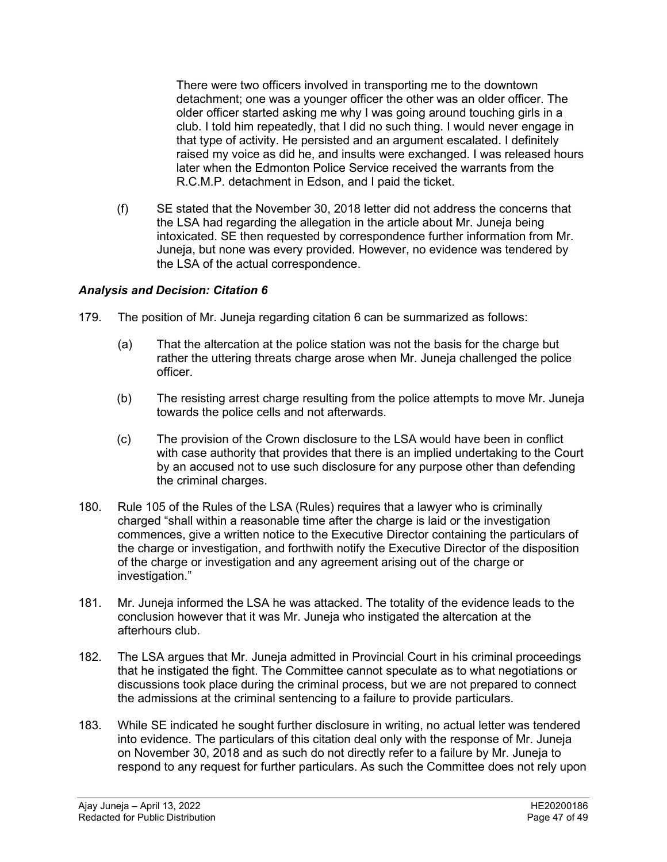There were two officers involved in transporting me to the downtown detachment; one was a younger officer the other was an older officer. The older officer started asking me why I was going around touching girls in a club. I told him repeatedly, that I did no such thing. I would never engage in that type of activity. He persisted and an argument escalated. I definitely raised my voice as did he, and insults were exchanged. I was released hours later when the Edmonton Police Service received the warrants from the R.C.M.P. detachment in Edson, and I paid the ticket.

(f) SE stated that the November 30, 2018 letter did not address the concerns that the LSA had regarding the allegation in the article about Mr. Juneja being intoxicated. SE then requested by correspondence further information from Mr. Juneja, but none was every provided. However, no evidence was tendered by the LSA of the actual correspondence.

# *Analysis and Decision: Citation 6*

- 179. The position of Mr. Juneja regarding citation 6 can be summarized as follows:
	- (a) That the altercation at the police station was not the basis for the charge but rather the uttering threats charge arose when Mr. Juneja challenged the police officer.
	- (b) The resisting arrest charge resulting from the police attempts to move Mr. Juneja towards the police cells and not afterwards.
	- (c) The provision of the Crown disclosure to the LSA would have been in conflict with case authority that provides that there is an implied undertaking to the Court by an accused not to use such disclosure for any purpose other than defending the criminal charges.
- 180. Rule 105 of the Rules of the LSA (Rules) requires that a lawyer who is criminally charged "shall within a reasonable time after the charge is laid or the investigation commences, give a written notice to the Executive Director containing the particulars of the charge or investigation, and forthwith notify the Executive Director of the disposition of the charge or investigation and any agreement arising out of the charge or investigation."
- 181. Mr. Juneja informed the LSA he was attacked. The totality of the evidence leads to the conclusion however that it was Mr. Juneja who instigated the altercation at the afterhours club.
- 182. The LSA argues that Mr. Juneja admitted in Provincial Court in his criminal proceedings that he instigated the fight. The Committee cannot speculate as to what negotiations or discussions took place during the criminal process, but we are not prepared to connect the admissions at the criminal sentencing to a failure to provide particulars.
- 183. While SE indicated he sought further disclosure in writing, no actual letter was tendered into evidence. The particulars of this citation deal only with the response of Mr. Juneja on November 30, 2018 and as such do not directly refer to a failure by Mr. Juneja to respond to any request for further particulars. As such the Committee does not rely upon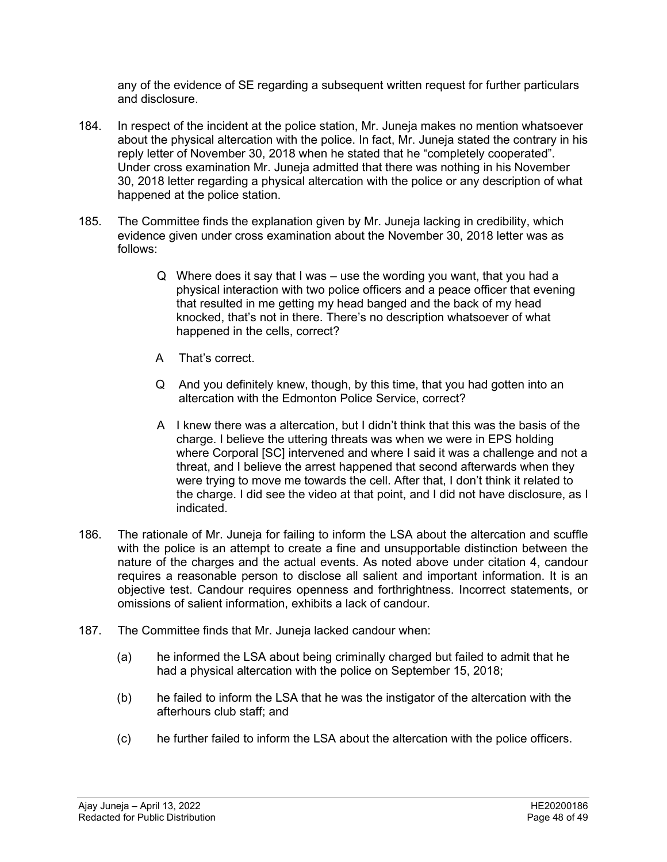any of the evidence of SE regarding a subsequent written request for further particulars and disclosure.

- 184. In respect of the incident at the police station, Mr. Juneja makes no mention whatsoever about the physical altercation with the police. In fact, Mr. Juneja stated the contrary in his reply letter of November 30, 2018 when he stated that he "completely cooperated". Under cross examination Mr. Juneja admitted that there was nothing in his November 30, 2018 letter regarding a physical altercation with the police or any description of what happened at the police station.
- 185. The Committee finds the explanation given by Mr. Juneja lacking in credibility, which evidence given under cross examination about the November 30, 2018 letter was as follows:
	- Q Where does it say that I was use the wording you want, that you had a physical interaction with two police officers and a peace officer that evening that resulted in me getting my head banged and the back of my head knocked, that's not in there. There's no description whatsoever of what happened in the cells, correct?
	- A That's correct.
	- Q And you definitely knew, though, by this time, that you had gotten into an altercation with the Edmonton Police Service, correct?
	- A I knew there was a altercation, but I didn't think that this was the basis of the charge. I believe the uttering threats was when we were in EPS holding where Corporal [SC] intervened and where I said it was a challenge and not a threat, and I believe the arrest happened that second afterwards when they were trying to move me towards the cell. After that, I don't think it related to the charge. I did see the video at that point, and I did not have disclosure, as I indicated.
- 186. The rationale of Mr. Juneja for failing to inform the LSA about the altercation and scuffle with the police is an attempt to create a fine and unsupportable distinction between the nature of the charges and the actual events. As noted above under citation 4, candour requires a reasonable person to disclose all salient and important information. It is an objective test. Candour requires openness and forthrightness. Incorrect statements, or omissions of salient information, exhibits a lack of candour.
- 187. The Committee finds that Mr. Juneja lacked candour when:
	- (a) he informed the LSA about being criminally charged but failed to admit that he had a physical altercation with the police on September 15, 2018;
	- (b) he failed to inform the LSA that he was the instigator of the altercation with the afterhours club staff; and
	- (c) he further failed to inform the LSA about the altercation with the police officers.